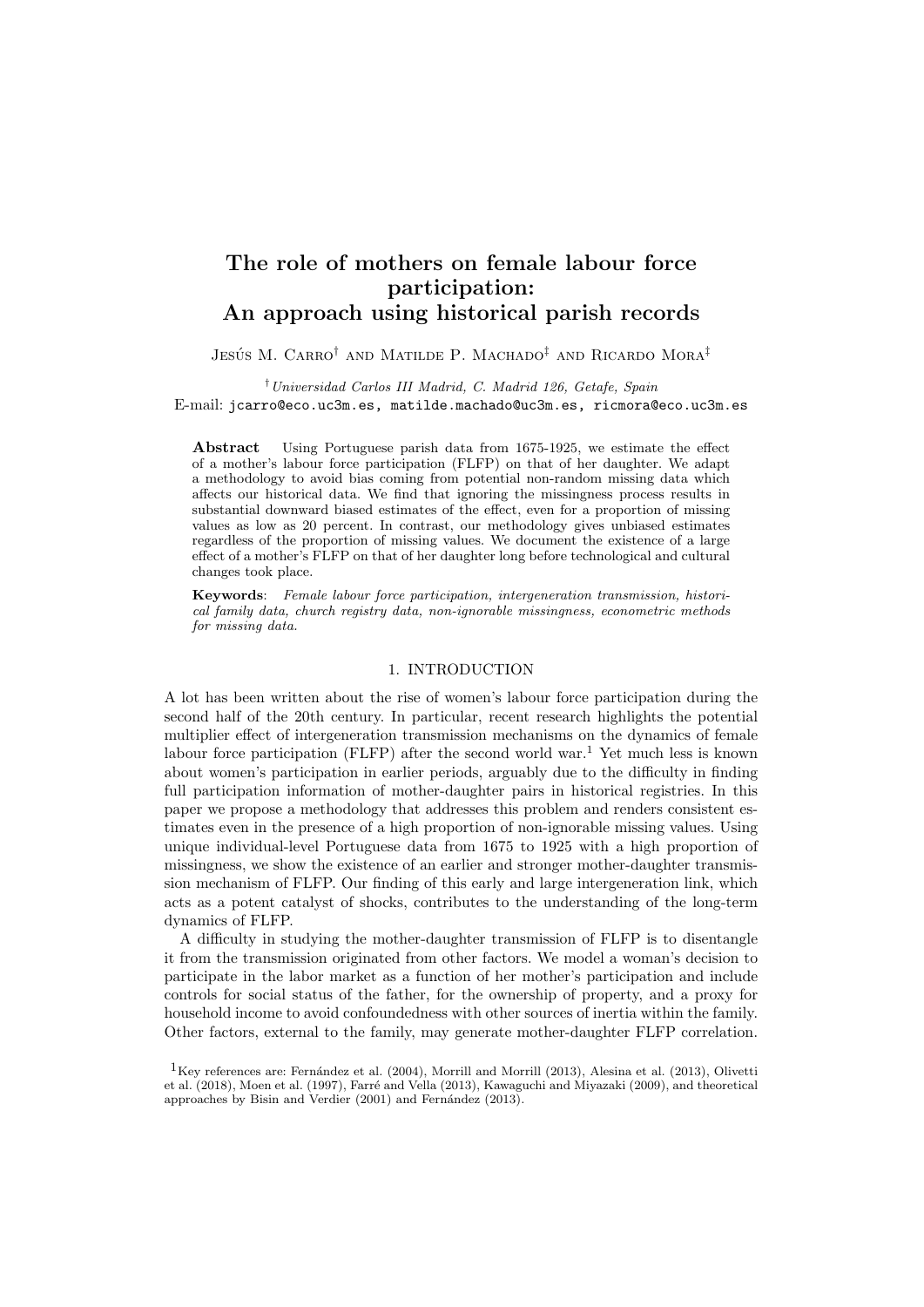## The role of mothers on female labour force participation: An approach using historical parish records

## Jesús M. Carro<sup>†</sup> and Matilde P. Machado<sup>‡</sup> and Ricardo Mora<sup>‡</sup>

†Universidad Carlos III Madrid, C. Madrid 126, Getafe, Spain E-mail: jcarro@eco.uc3m.es, matilde.machado@uc3m.es, ricmora@eco.uc3m.es

Abstract Using Portuguese parish data from 1675-1925, we estimate the effect of a mother's labour force participation (FLFP) on that of her daughter. We adapt a methodology to avoid bias coming from potential non-random missing data which affects our historical data. We find that ignoring the missingness process results in substantial downward biased estimates of the effect, even for a proportion of missing values as low as 20 percent. In contrast, our methodology gives unbiased estimates regardless of the proportion of missing values. We document the existence of a large effect of a mother's FLFP on that of her daughter long before technological and cultural changes took place.

Keywords: Female labour force participation, intergeneration transmission, historical family data, church registry data, non-ignorable missingness, econometric methods for missing data.

## 1. INTRODUCTION

A lot has been written about the rise of women's labour force participation during the second half of the 20th century. In particular, recent research highlights the potential multiplier effect of intergeneration transmission mechanisms on the dynamics of female labour force participation (FLFP) after the second world war.<sup>1</sup> Yet much less is known about women's participation in earlier periods, arguably due to the difficulty in finding full participation information of mother-daughter pairs in historical registries. In this paper we propose a methodology that addresses this problem and renders consistent estimates even in the presence of a high proportion of non-ignorable missing values. Using unique individual-level Portuguese data from 1675 to 1925 with a high proportion of missingness, we show the existence of an earlier and stronger mother-daughter transmission mechanism of FLFP. Our finding of this early and large intergeneration link, which acts as a potent catalyst of shocks, contributes to the understanding of the long-term dynamics of FLFP.

A difficulty in studying the mother-daughter transmission of FLFP is to disentangle it from the transmission originated from other factors. We model a woman's decision to participate in the labor market as a function of her mother's participation and include controls for social status of the father, for the ownership of property, and a proxy for household income to avoid confoundedness with other sources of inertia within the family. Other factors, external to the family, may generate mother-daughter FLFP correlation.

 $1$ Key references are: Fernández et al. (2004), Morrill and Morrill (2013), Alesina et al. (2013), Olivetti et al. (2018), Moen et al. (1997), Farré and Vella (2013), Kawaguchi and Miyazaki (2009), and theoretical approaches by Bisin and Verdier (2001) and Fernández (2013).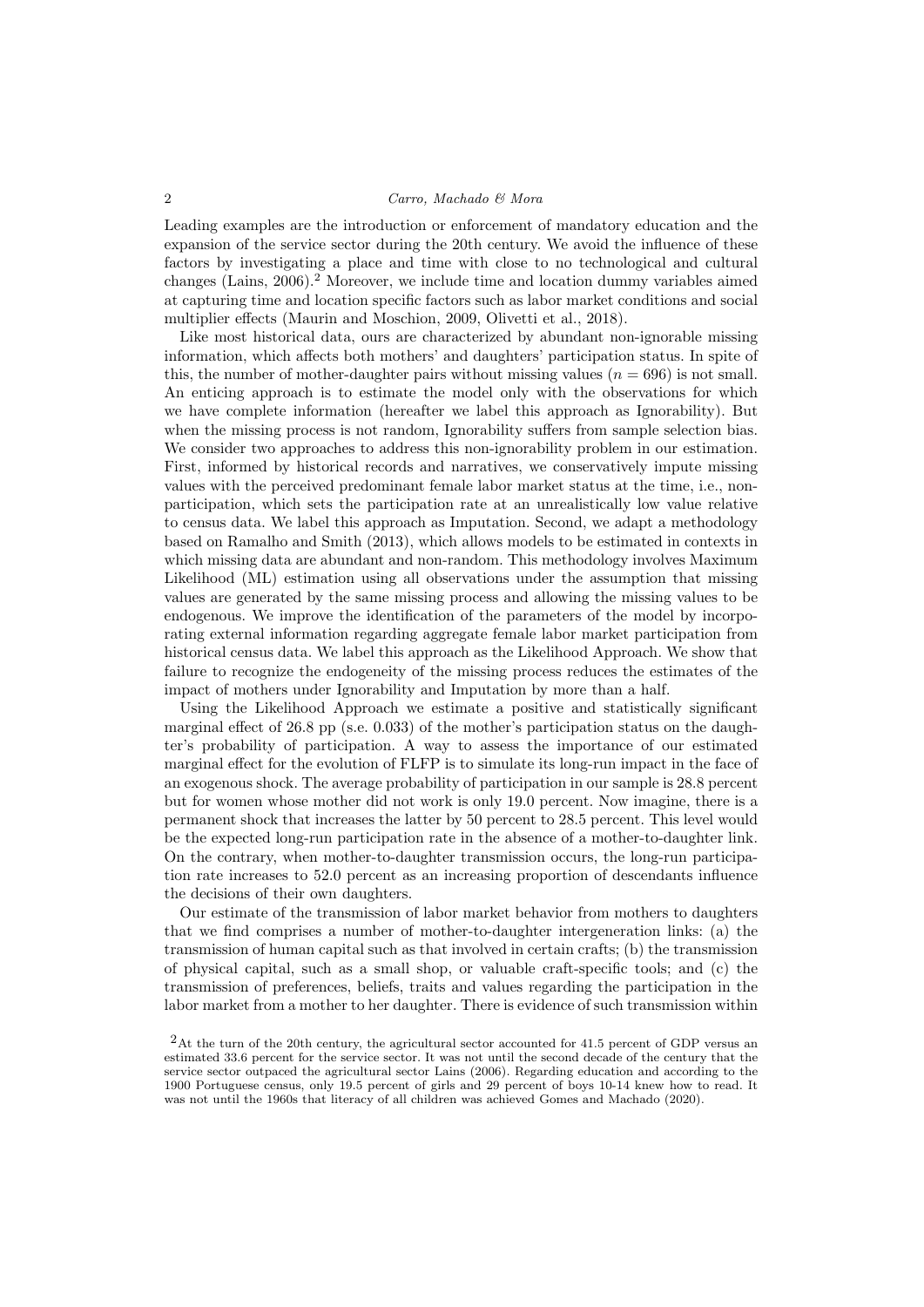Leading examples are the introduction or enforcement of mandatory education and the expansion of the service sector during the 20th century. We avoid the influence of these factors by investigating a place and time with close to no technological and cultural changes (Lains,  $2006$ ).<sup>2</sup> Moreover, we include time and location dummy variables aimed at capturing time and location specific factors such as labor market conditions and social multiplier effects (Maurin and Moschion, 2009, Olivetti et al., 2018).

Like most historical data, ours are characterized by abundant non-ignorable missing information, which affects both mothers' and daughters' participation status. In spite of this, the number of mother-daughter pairs without missing values ( $n = 696$ ) is not small. An enticing approach is to estimate the model only with the observations for which we have complete information (hereafter we label this approach as Ignorability). But when the missing process is not random, Ignorability suffers from sample selection bias. We consider two approaches to address this non-ignorability problem in our estimation. First, informed by historical records and narratives, we conservatively impute missing values with the perceived predominant female labor market status at the time, i.e., nonparticipation, which sets the participation rate at an unrealistically low value relative to census data. We label this approach as Imputation. Second, we adapt a methodology based on Ramalho and Smith (2013), which allows models to be estimated in contexts in which missing data are abundant and non-random. This methodology involves Maximum Likelihood (ML) estimation using all observations under the assumption that missing values are generated by the same missing process and allowing the missing values to be endogenous. We improve the identification of the parameters of the model by incorporating external information regarding aggregate female labor market participation from historical census data. We label this approach as the Likelihood Approach. We show that failure to recognize the endogeneity of the missing process reduces the estimates of the impact of mothers under Ignorability and Imputation by more than a half.

Using the Likelihood Approach we estimate a positive and statistically significant marginal effect of 26.8 pp (s.e. 0.033) of the mother's participation status on the daughter's probability of participation. A way to assess the importance of our estimated marginal effect for the evolution of FLFP is to simulate its long-run impact in the face of an exogenous shock. The average probability of participation in our sample is 28.8 percent but for women whose mother did not work is only 19.0 percent. Now imagine, there is a permanent shock that increases the latter by 50 percent to 28.5 percent. This level would be the expected long-run participation rate in the absence of a mother-to-daughter link. On the contrary, when mother-to-daughter transmission occurs, the long-run participation rate increases to 52.0 percent as an increasing proportion of descendants influence the decisions of their own daughters.

Our estimate of the transmission of labor market behavior from mothers to daughters that we find comprises a number of mother-to-daughter intergeneration links: (a) the transmission of human capital such as that involved in certain crafts; (b) the transmission of physical capital, such as a small shop, or valuable craft-specific tools; and (c) the transmission of preferences, beliefs, traits and values regarding the participation in the labor market from a mother to her daughter. There is evidence of such transmission within

<sup>2</sup>At the turn of the 20th century, the agricultural sector accounted for 41.5 percent of GDP versus an estimated 33.6 percent for the service sector. It was not until the second decade of the century that the service sector outpaced the agricultural sector Lains (2006). Regarding education and according to the 1900 Portuguese census, only 19.5 percent of girls and 29 percent of boys 10-14 knew how to read. It was not until the 1960s that literacy of all children was achieved Gomes and Machado (2020).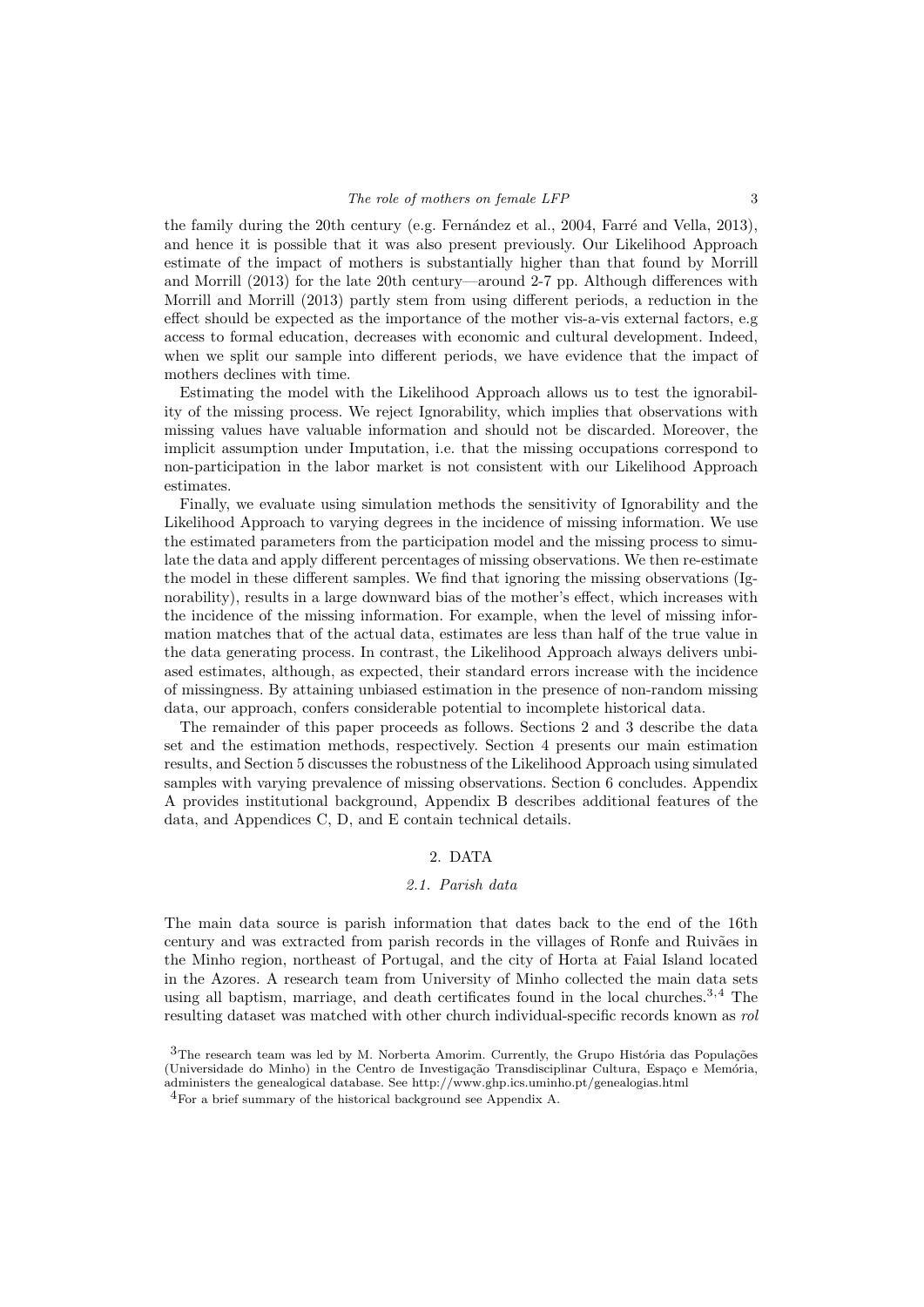the family during the 20th century (e.g. Fernández et al., 2004, Farré and Vella, 2013), and hence it is possible that it was also present previously. Our Likelihood Approach estimate of the impact of mothers is substantially higher than that found by Morrill and Morrill (2013) for the late 20th century—around 2-7 pp. Although differences with Morrill and Morrill (2013) partly stem from using different periods, a reduction in the effect should be expected as the importance of the mother vis-a-vis external factors, e.g access to formal education, decreases with economic and cultural development. Indeed, when we split our sample into different periods, we have evidence that the impact of mothers declines with time.

Estimating the model with the Likelihood Approach allows us to test the ignorability of the missing process. We reject Ignorability, which implies that observations with missing values have valuable information and should not be discarded. Moreover, the implicit assumption under Imputation, i.e. that the missing occupations correspond to non-participation in the labor market is not consistent with our Likelihood Approach estimates.

Finally, we evaluate using simulation methods the sensitivity of Ignorability and the Likelihood Approach to varying degrees in the incidence of missing information. We use the estimated parameters from the participation model and the missing process to simulate the data and apply different percentages of missing observations. We then re-estimate the model in these different samples. We find that ignoring the missing observations (Ignorability), results in a large downward bias of the mother's effect, which increases with the incidence of the missing information. For example, when the level of missing information matches that of the actual data, estimates are less than half of the true value in the data generating process. In contrast, the Likelihood Approach always delivers unbiased estimates, although, as expected, their standard errors increase with the incidence of missingness. By attaining unbiased estimation in the presence of non-random missing data, our approach, confers considerable potential to incomplete historical data.

The remainder of this paper proceeds as follows. Sections 2 and 3 describe the data set and the estimation methods, respectively. Section 4 presents our main estimation results, and Section 5 discusses the robustness of the Likelihood Approach using simulated samples with varying prevalence of missing observations. Section 6 concludes. Appendix A provides institutional background, Appendix B describes additional features of the data, and Appendices C, D, and E contain technical details.

## 2. DATA

## 2.1. Parish data

The main data source is parish information that dates back to the end of the 16th century and was extracted from parish records in the villages of Ronfe and Ruivães in the Minho region, northeast of Portugal, and the city of Horta at Faial Island located in the Azores. A research team from University of Minho collected the main data sets using all baptism, marriage, and death certificates found in the local churches.<sup>3,4</sup> The resulting dataset was matched with other church individual-specific records known as rol

 $3$ The research team was led by M. Norberta Amorim. Currently, the Grupo História das Populações (Universidade do Minho) in the Centro de Investigação Transdisciplinar Cultura, Espaço e Memória, administers the genealogical database. See http://www.ghp.ics.uminho.pt/genealogias.html

 $^{4}$ For a brief summary of the historical background see Appendix A.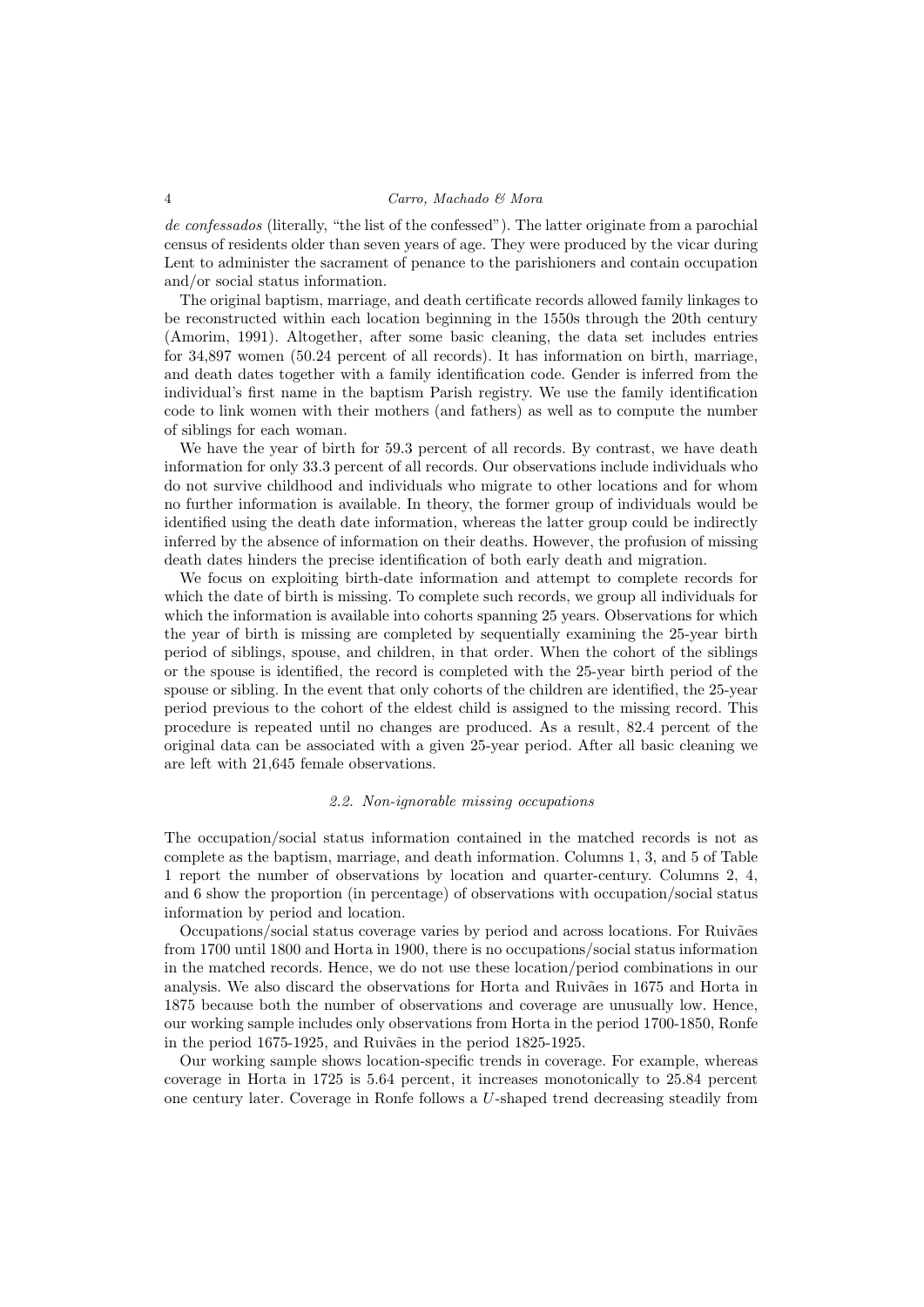de confessados (literally, "the list of the confessed"). The latter originate from a parochial census of residents older than seven years of age. They were produced by the vicar during Lent to administer the sacrament of penance to the parishioners and contain occupation and/or social status information.

The original baptism, marriage, and death certificate records allowed family linkages to be reconstructed within each location beginning in the 1550s through the 20th century (Amorim, 1991). Altogether, after some basic cleaning, the data set includes entries for 34,897 women (50.24 percent of all records). It has information on birth, marriage, and death dates together with a family identification code. Gender is inferred from the individual's first name in the baptism Parish registry. We use the family identification code to link women with their mothers (and fathers) as well as to compute the number of siblings for each woman.

We have the year of birth for 59.3 percent of all records. By contrast, we have death information for only 33.3 percent of all records. Our observations include individuals who do not survive childhood and individuals who migrate to other locations and for whom no further information is available. In theory, the former group of individuals would be identified using the death date information, whereas the latter group could be indirectly inferred by the absence of information on their deaths. However, the profusion of missing death dates hinders the precise identification of both early death and migration.

We focus on exploiting birth-date information and attempt to complete records for which the date of birth is missing. To complete such records, we group all individuals for which the information is available into cohorts spanning 25 years. Observations for which the year of birth is missing are completed by sequentially examining the 25-year birth period of siblings, spouse, and children, in that order. When the cohort of the siblings or the spouse is identified, the record is completed with the 25-year birth period of the spouse or sibling. In the event that only cohorts of the children are identified, the 25-year period previous to the cohort of the eldest child is assigned to the missing record. This procedure is repeated until no changes are produced. As a result, 82.4 percent of the original data can be associated with a given 25-year period. After all basic cleaning we are left with 21,645 female observations.

#### 2.2. Non-ignorable missing occupations

The occupation/social status information contained in the matched records is not as complete as the baptism, marriage, and death information. Columns 1, 3, and 5 of Table 1 report the number of observations by location and quarter-century. Columns 2, 4, and 6 show the proportion (in percentage) of observations with occupation/social status information by period and location.

Occupations/social status coverage varies by period and across locations. For Ruivães from 1700 until 1800 and Horta in 1900, there is no occupations/social status information in the matched records. Hence, we do not use these location/period combinations in our analysis. We also discard the observations for Horta and Ruivães in 1675 and Horta in 1875 because both the number of observations and coverage are unusually low. Hence, our working sample includes only observations from Horta in the period 1700-1850, Ronfe in the period 1675-1925, and Ruivães in the period 1825-1925.

Our working sample shows location-specific trends in coverage. For example, whereas coverage in Horta in 1725 is 5.64 percent, it increases monotonically to 25.84 percent one century later. Coverage in Ronfe follows a U-shaped trend decreasing steadily from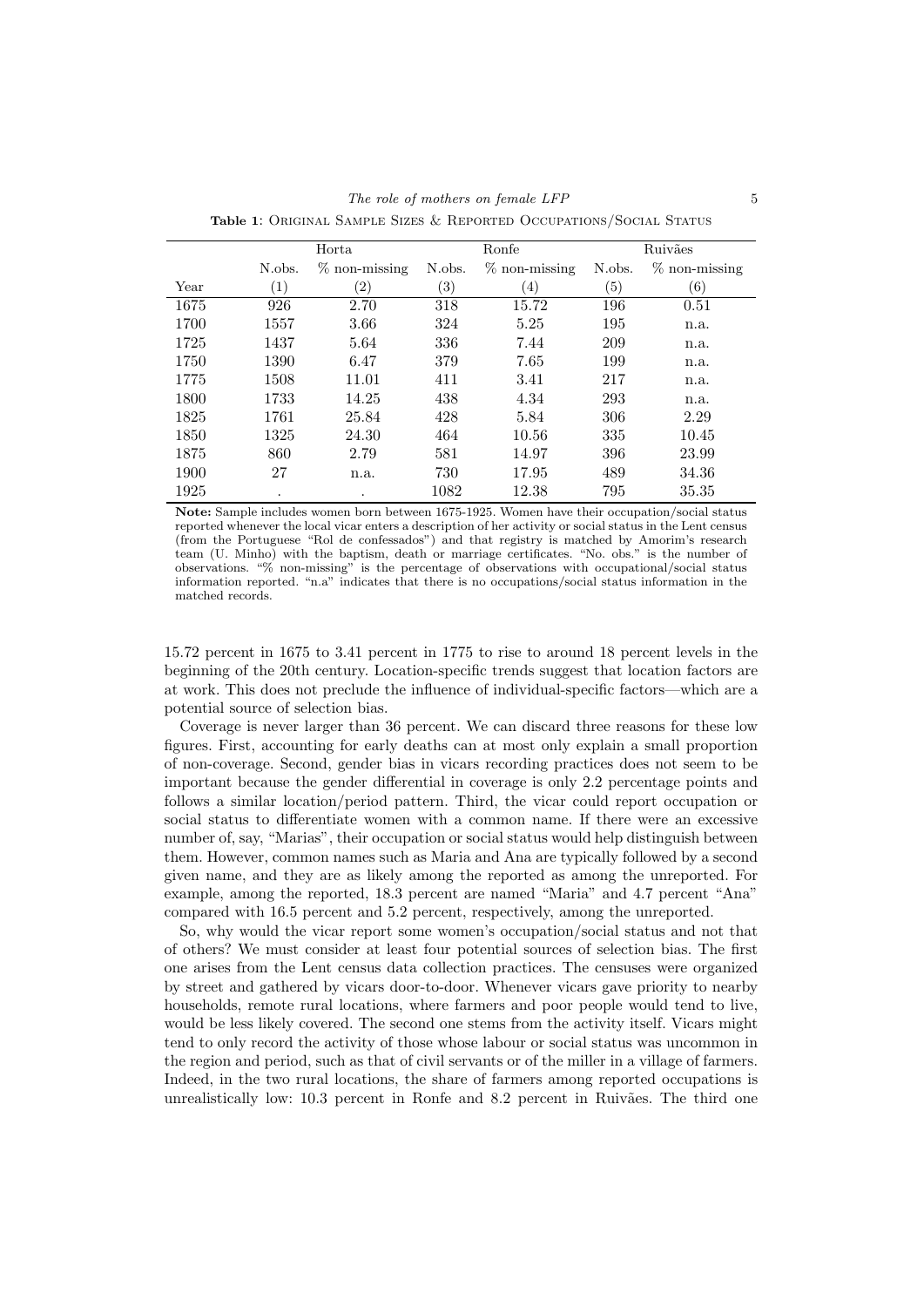|      |        | Horta            |                   | Ronfe            |        | Ruivães           |
|------|--------|------------------|-------------------|------------------|--------|-------------------|
|      | N.obs. | $\%$ non-missing | N.obs.            | $\%$ non-missing | N.obs. | $\%$ non-missing  |
| Year | (1)    | $\rm(2)$         | $\left( 3\right)$ | $^{(4)}$         | (5)    | $\left( 6\right)$ |
| 1675 | 926    | 2.70             | 318               | 15.72            | 196    | 0.51              |
| 1700 | 1557   | 3.66             | 324               | 5.25             | 195    | n.a.              |
| 1725 | 1437   | 5.64             | 336               | 7.44             | 209    | n.a.              |
| 1750 | 1390   | 6.47             | 379               | 7.65             | 199    | n.a.              |
| 1775 | 1508   | 11.01            | 411               | 3.41             | 217    | n.a.              |
| 1800 | 1733   | 14.25            | 438               | 4.34             | 293    | n.a.              |
| 1825 | 1761   | 25.84            | 428               | 5.84             | 306    | 2.29              |
| 1850 | 1325   | 24.30            | 464               | 10.56            | 335    | 10.45             |
| 1875 | 860    | 2.79             | 581               | 14.97            | 396    | 23.99             |
| 1900 | 27     | n.a.             | 730               | 17.95            | 489    | 34.36             |
| 1925 | ٠      | ٠                | 1082              | 12.38            | 795    | 35.35             |

Note: Sample includes women born between 1675-1925. Women have their occupation/social status reported whenever the local vicar enters a description of her activity or social status in the Lent census (from the Portuguese "Rol de confessados") and that registry is matched by Amorim's research team (U. Minho) with the baptism, death or marriage certificates. "No. obs." is the number of observations. "% non-missing" is the percentage of observations with occupational/social status information reported. "n.a" indicates that there is no occupations/social status information in the matched records.

15.72 percent in 1675 to 3.41 percent in 1775 to rise to around 18 percent levels in the beginning of the 20th century. Location-specific trends suggest that location factors are at work. This does not preclude the influence of individual-specific factors—which are a potential source of selection bias.

Coverage is never larger than 36 percent. We can discard three reasons for these low figures. First, accounting for early deaths can at most only explain a small proportion of non-coverage. Second, gender bias in vicars recording practices does not seem to be important because the gender differential in coverage is only 2.2 percentage points and follows a similar location/period pattern. Third, the vicar could report occupation or social status to differentiate women with a common name. If there were an excessive number of, say, "Marias", their occupation or social status would help distinguish between them. However, common names such as Maria and Ana are typically followed by a second given name, and they are as likely among the reported as among the unreported. For example, among the reported, 18.3 percent are named "Maria" and 4.7 percent "Ana" compared with 16.5 percent and 5.2 percent, respectively, among the unreported.

So, why would the vicar report some women's occupation/social status and not that of others? We must consider at least four potential sources of selection bias. The first one arises from the Lent census data collection practices. The censuses were organized by street and gathered by vicars door-to-door. Whenever vicars gave priority to nearby households, remote rural locations, where farmers and poor people would tend to live, would be less likely covered. The second one stems from the activity itself. Vicars might tend to only record the activity of those whose labour or social status was uncommon in the region and period, such as that of civil servants or of the miller in a village of farmers. Indeed, in the two rural locations, the share of farmers among reported occupations is unrealistically low: 10.3 percent in Ronfe and 8.2 percent in Ruivães. The third one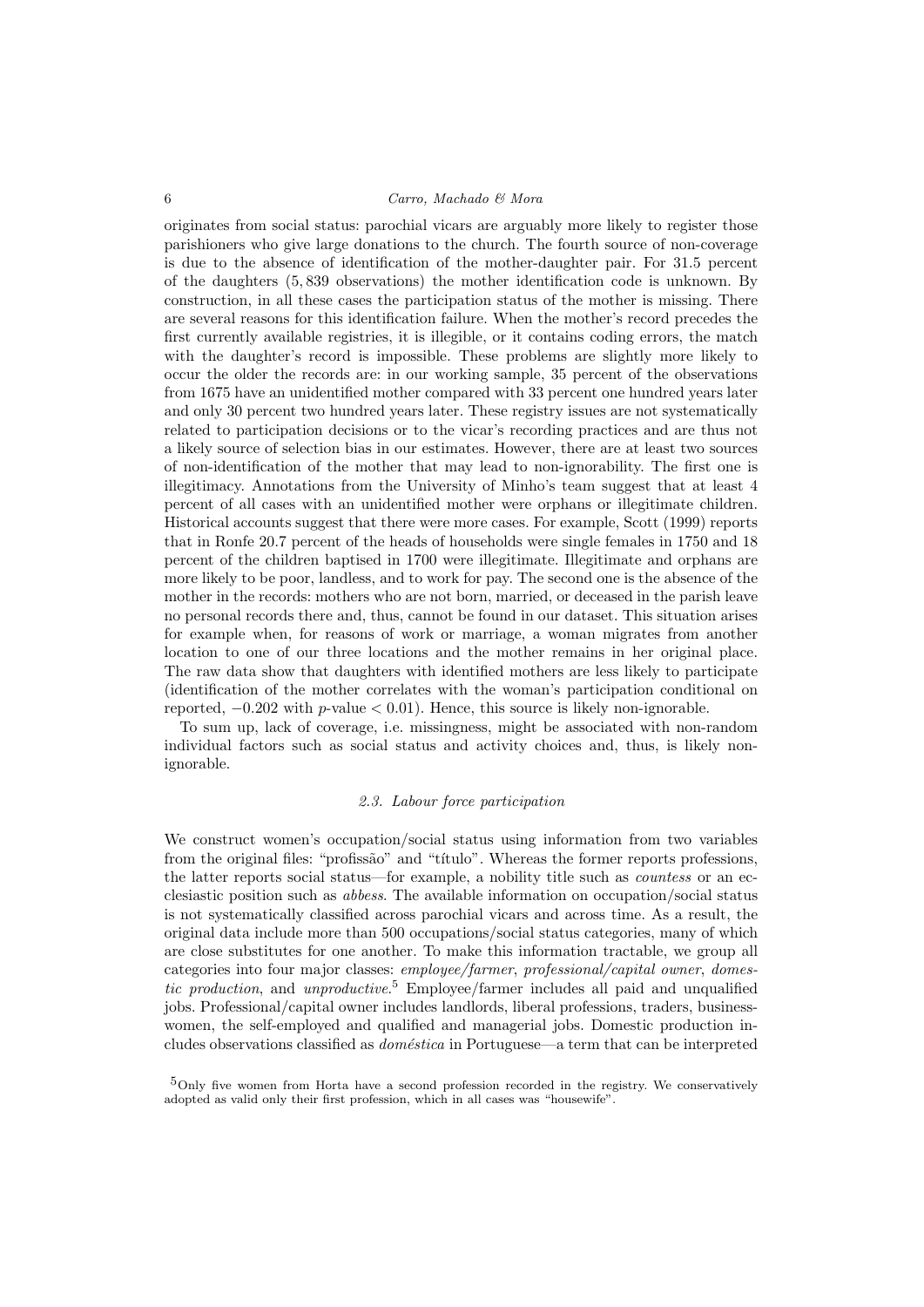originates from social status: parochial vicars are arguably more likely to register those parishioners who give large donations to the church. The fourth source of non-coverage is due to the absence of identification of the mother-daughter pair. For 31.5 percent of the daughters (5, 839 observations) the mother identification code is unknown. By construction, in all these cases the participation status of the mother is missing. There are several reasons for this identification failure. When the mother's record precedes the first currently available registries, it is illegible, or it contains coding errors, the match with the daughter's record is impossible. These problems are slightly more likely to occur the older the records are: in our working sample, 35 percent of the observations from 1675 have an unidentified mother compared with 33 percent one hundred years later and only 30 percent two hundred years later. These registry issues are not systematically related to participation decisions or to the vicar's recording practices and are thus not a likely source of selection bias in our estimates. However, there are at least two sources of non-identification of the mother that may lead to non-ignorability. The first one is illegitimacy. Annotations from the University of Minho's team suggest that at least 4 percent of all cases with an unidentified mother were orphans or illegitimate children. Historical accounts suggest that there were more cases. For example, Scott (1999) reports that in Ronfe 20.7 percent of the heads of households were single females in 1750 and 18 percent of the children baptised in 1700 were illegitimate. Illegitimate and orphans are more likely to be poor, landless, and to work for pay. The second one is the absence of the mother in the records: mothers who are not born, married, or deceased in the parish leave no personal records there and, thus, cannot be found in our dataset. This situation arises for example when, for reasons of work or marriage, a woman migrates from another location to one of our three locations and the mother remains in her original place. The raw data show that daughters with identified mothers are less likely to participate (identification of the mother correlates with the woman's participation conditional on reported,  $-0.202$  with p-value  $< 0.01$ ). Hence, this source is likely non-ignorable.

To sum up, lack of coverage, i.e. missingness, might be associated with non-random individual factors such as social status and activity choices and, thus, is likely nonignorable.

#### 2.3. Labour force participation

We construct women's occupation/social status using information from two variables from the original files: "profissão" and "título". Whereas the former reports professions, the latter reports social status—for example, a nobility title such as countess or an ecclesiastic position such as abbess. The available information on occupation/social status is not systematically classified across parochial vicars and across time. As a result, the original data include more than 500 occupations/social status categories, many of which are close substitutes for one another. To make this information tractable, we group all categories into four major classes: employee/farmer, professional/capital owner, domestic production, and unproductive.<sup>5</sup> Employee/farmer includes all paid and unqualified jobs. Professional/capital owner includes landlords, liberal professions, traders, businesswomen, the self-employed and qualified and managerial jobs. Domestic production includes observations classified as *doméstica* in Portuguese—a term that can be interpreted

5Only five women from Horta have a second profession recorded in the registry. We conservatively adopted as valid only their first profession, which in all cases was "housewife".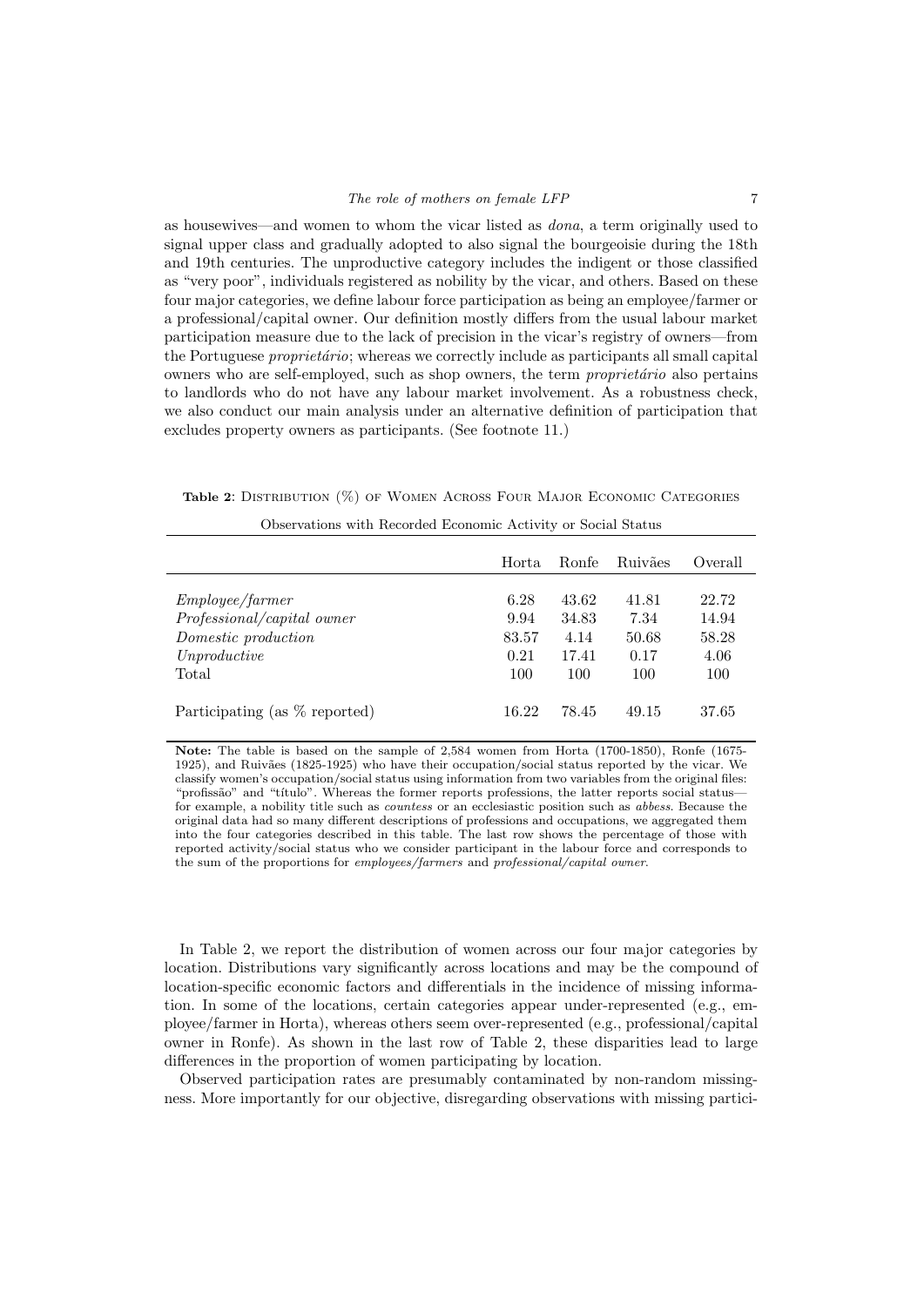as housewives—and women to whom the vicar listed as dona, a term originally used to signal upper class and gradually adopted to also signal the bourgeoisie during the 18th and 19th centuries. The unproductive category includes the indigent or those classified as "very poor", individuals registered as nobility by the vicar, and others. Based on these four major categories, we define labour force participation as being an employee/farmer or a professional/capital owner. Our definition mostly differs from the usual labour market participation measure due to the lack of precision in the vicar's registry of owners—from the Portuguese *proprietário*; whereas we correctly include as participants all small capital owners who are self-employed, such as shop owners, the term *proprietatio* also pertains to landlords who do not have any labour market involvement. As a robustness check, we also conduct our main analysis under an alternative definition of participation that excludes property owners as participants. (See footnote 11.)

Table 2: Distribution (%) of Women Across Four Major Economic Categories

|                               | Horta.        | Ronfe         | Ruivães       | Overall       |
|-------------------------------|---------------|---------------|---------------|---------------|
| <i>Employee/farmer</i>        | 6.28          | 43.62         | 41.81         | 22.72         |
| Professional/capital owner    | 9.94          | 34.83         | 7.34          | 14.94         |
| Domestic production           | 83.57<br>0.21 | 4.14<br>17.41 | 50.68<br>0.17 | 58.28<br>4.06 |
| Unproductive<br>Total         | 100           | 100           | 100           | 100           |
| Participating (as % reported) | 16.22         | 78.45         | 49.15         | 37.65         |

| Observations with Recorded Economic Activity or Social Status |  |  |  |  |  |  |
|---------------------------------------------------------------|--|--|--|--|--|--|
|---------------------------------------------------------------|--|--|--|--|--|--|

Note: The table is based on the sample of 2,584 women from Horta (1700-1850), Ronfe (1675- 1925), and Ruivães (1825-1925) who have their occupation/social status reported by the vicar. We classify women's occupation/social status using information from two variables from the original files: "profissão" and "título". Whereas the former reports professions, the latter reports social status for example, a nobility title such as countess or an ecclesiastic position such as abbess. Because the original data had so many different descriptions of professions and occupations, we aggregated them into the four categories described in this table. The last row shows the percentage of those with reported activity/social status who we consider participant in the labour force and corresponds to the sum of the proportions for employees/farmers and professional/capital owner.

In Table 2, we report the distribution of women across our four major categories by location. Distributions vary significantly across locations and may be the compound of location-specific economic factors and differentials in the incidence of missing information. In some of the locations, certain categories appear under-represented (e.g., employee/farmer in Horta), whereas others seem over-represented (e.g., professional/capital owner in Ronfe). As shown in the last row of Table 2, these disparities lead to large differences in the proportion of women participating by location.

Observed participation rates are presumably contaminated by non-random missingness. More importantly for our objective, disregarding observations with missing partici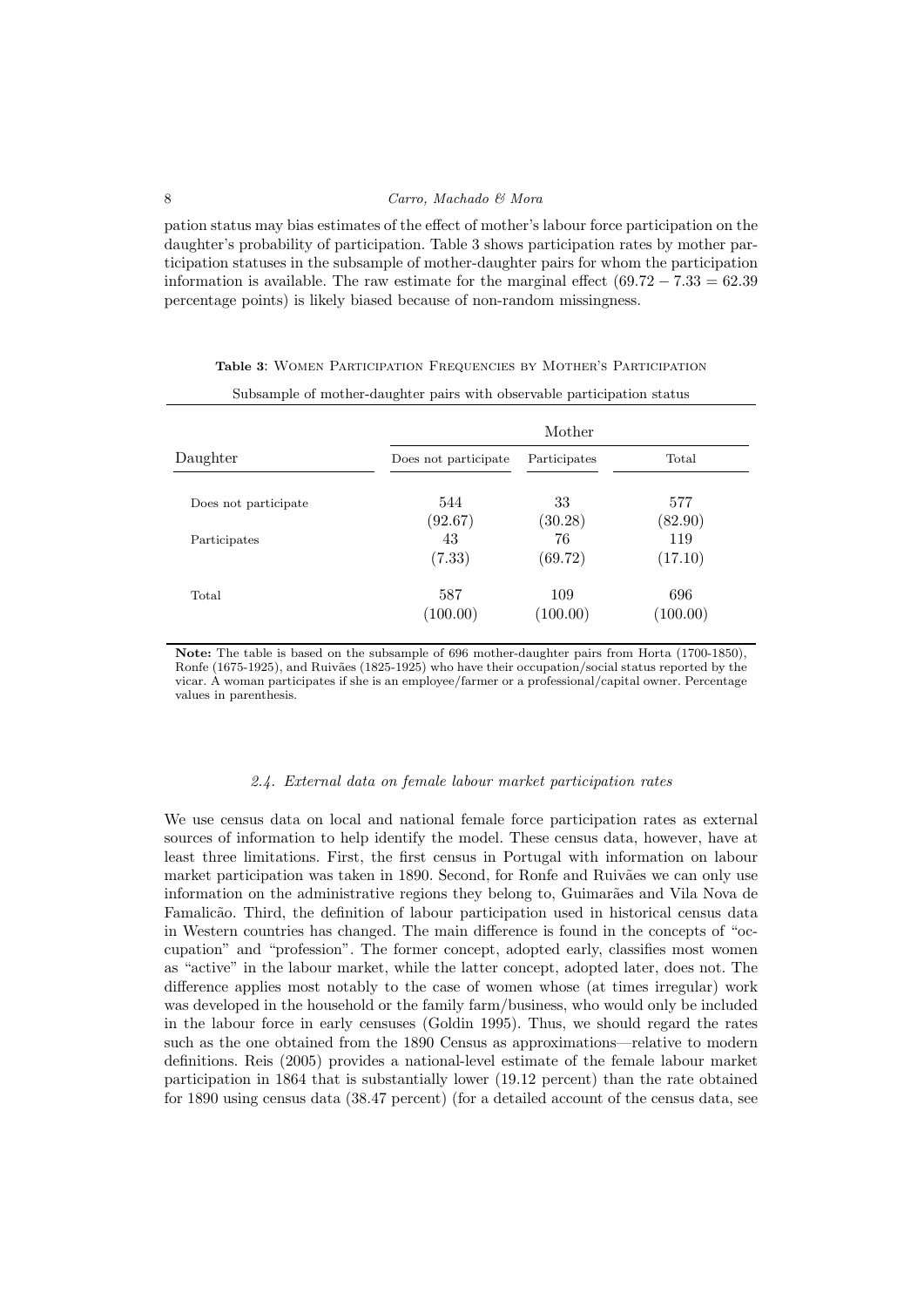pation status may bias estimates of the effect of mother's labour force participation on the daughter's probability of participation. Table 3 shows participation rates by mother participation statuses in the subsample of mother-daughter pairs for whom the participation information is available. The raw estimate for the marginal effect  $(69.72 - 7.33 = 62.39)$ percentage points) is likely biased because of non-random missingness.

|                      |                      | Mother       |          |
|----------------------|----------------------|--------------|----------|
| Daughter             | Does not participate | Participates | Total    |
| Does not participate | 544                  | 33           | 577      |
|                      | (92.67)              | (30.28)      | (82.90)  |
| Participates         | 43                   | 76           | 119      |
|                      | (7.33)               | (69.72)      | (17.10)  |
| Total                | 587                  | 109          | 696      |
|                      | (100.00)             | (100.00)     | (100.00) |

Table 3: Women Participation Frequencies by Mother's Participation Subsample of mother-daughter pairs with observable participation status

Note: The table is based on the subsample of 696 mother-daughter pairs from Horta (1700-1850), Ronfe (1675-1925), and Ruivães (1825-1925) who have their occupation/social status reported by the vicar. A woman participates if she is an employee/farmer or a professional/capital owner. Percentage values in parenthesis.

#### 2.4. External data on female labour market participation rates

We use census data on local and national female force participation rates as external sources of information to help identify the model. These census data, however, have at least three limitations. First, the first census in Portugal with information on labour market participation was taken in 1890. Second, for Ronfe and Ruivães we can only use information on the administrative regions they belong to, Guimarães and Vila Nova de Famalicão. Third, the definition of labour participation used in historical census data in Western countries has changed. The main difference is found in the concepts of "occupation" and "profession". The former concept, adopted early, classifies most women as "active" in the labour market, while the latter concept, adopted later, does not. The difference applies most notably to the case of women whose (at times irregular) work was developed in the household or the family farm/business, who would only be included in the labour force in early censuses (Goldin 1995). Thus, we should regard the rates such as the one obtained from the 1890 Census as approximations—relative to modern definitions. Reis (2005) provides a national-level estimate of the female labour market participation in 1864 that is substantially lower (19.12 percent) than the rate obtained for 1890 using census data (38.47 percent) (for a detailed account of the census data, see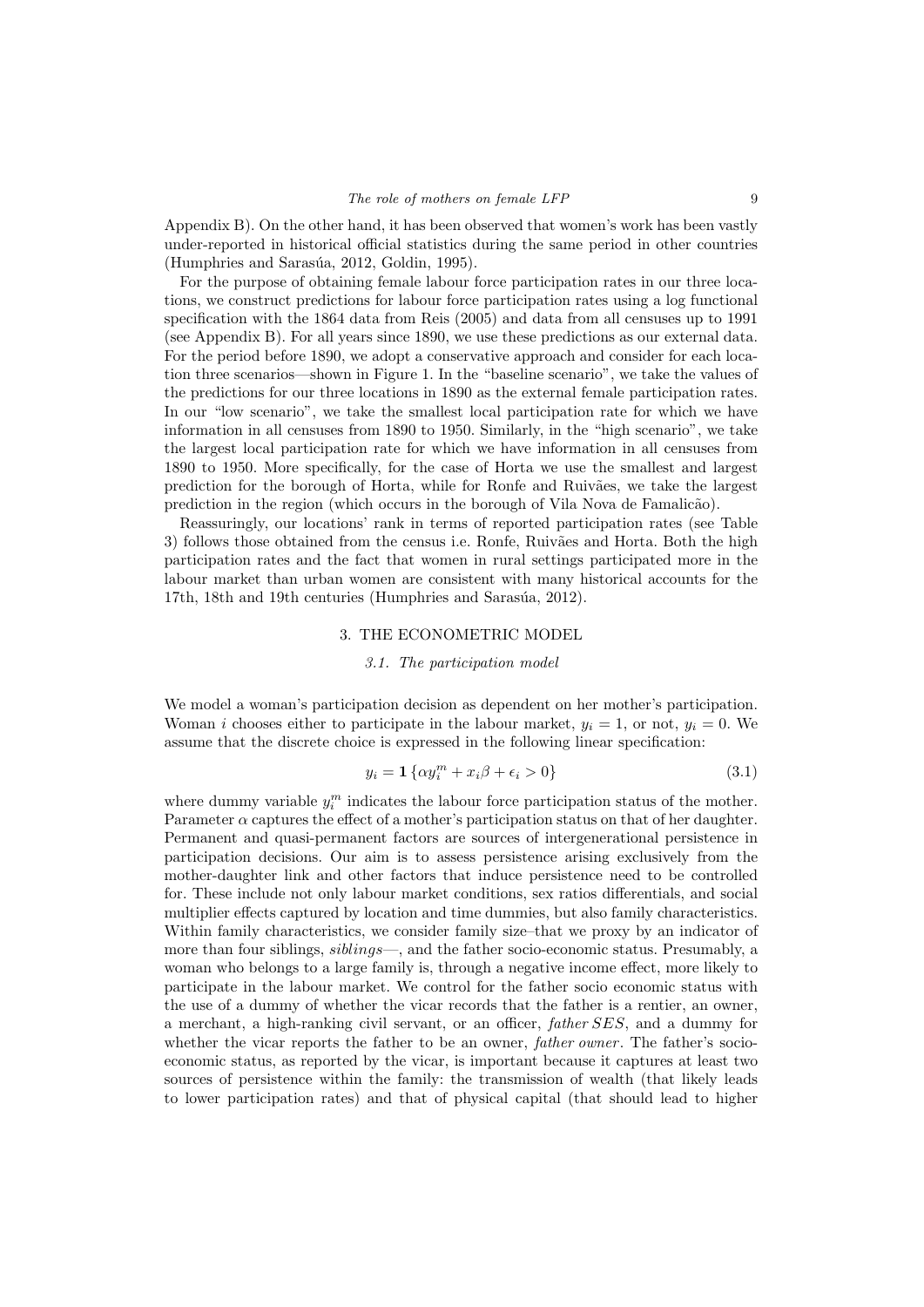Appendix B). On the other hand, it has been observed that women's work has been vastly under-reported in historical official statistics during the same period in other countries (Humphries and Sarasúa, 2012, Goldin, 1995).

For the purpose of obtaining female labour force participation rates in our three locations, we construct predictions for labour force participation rates using a log functional specification with the 1864 data from Reis (2005) and data from all censuses up to 1991 (see Appendix B). For all years since 1890, we use these predictions as our external data. For the period before 1890, we adopt a conservative approach and consider for each location three scenarios—shown in Figure 1. In the "baseline scenario", we take the values of the predictions for our three locations in 1890 as the external female participation rates. In our "low scenario", we take the smallest local participation rate for which we have information in all censuses from 1890 to 1950. Similarly, in the "high scenario", we take the largest local participation rate for which we have information in all censuses from 1890 to 1950. More specifically, for the case of Horta we use the smallest and largest prediction for the borough of Horta, while for Ronfe and Ruiv˜aes, we take the largest prediction in the region (which occurs in the borough of Vila Nova de Famalic˜ao).

Reassuringly, our locations' rank in terms of reported participation rates (see Table 3) follows those obtained from the census i.e. Ronfe, Ruivães and Horta. Both the high participation rates and the fact that women in rural settings participated more in the labour market than urban women are consistent with many historical accounts for the 17th, 18th and 19th centuries (Humphries and Sarasúa, 2012).

#### 3. THE ECONOMETRIC MODEL

### 3.1. The participation model

We model a woman's participation decision as dependent on her mother's participation. Woman i chooses either to participate in the labour market,  $y_i = 1$ , or not,  $y_i = 0$ . We assume that the discrete choice is expressed in the following linear specification:

$$
y_i = \mathbf{1} \left\{ \alpha y_i^m + x_i \beta + \epsilon_i > 0 \right\} \tag{3.1}
$$

where dummy variable  $y_i^m$  indicates the labour force participation status of the mother. Parameter  $\alpha$  captures the effect of a mother's participation status on that of her daughter. Permanent and quasi-permanent factors are sources of intergenerational persistence in participation decisions. Our aim is to assess persistence arising exclusively from the mother-daughter link and other factors that induce persistence need to be controlled for. These include not only labour market conditions, sex ratios differentials, and social multiplier effects captured by location and time dummies, but also family characteristics. Within family characteristics, we consider family size–that we proxy by an indicator of more than four siblings, *siblings*—, and the father socio-economic status. Presumably, a woman who belongs to a large family is, through a negative income effect, more likely to participate in the labour market. We control for the father socio economic status with the use of a dummy of whether the vicar records that the father is a rentier, an owner, a merchant, a high-ranking civil servant, or an officer, father SES, and a dummy for whether the vicar reports the father to be an owner, *father owner*. The father's socioeconomic status, as reported by the vicar, is important because it captures at least two sources of persistence within the family: the transmission of wealth (that likely leads to lower participation rates) and that of physical capital (that should lead to higher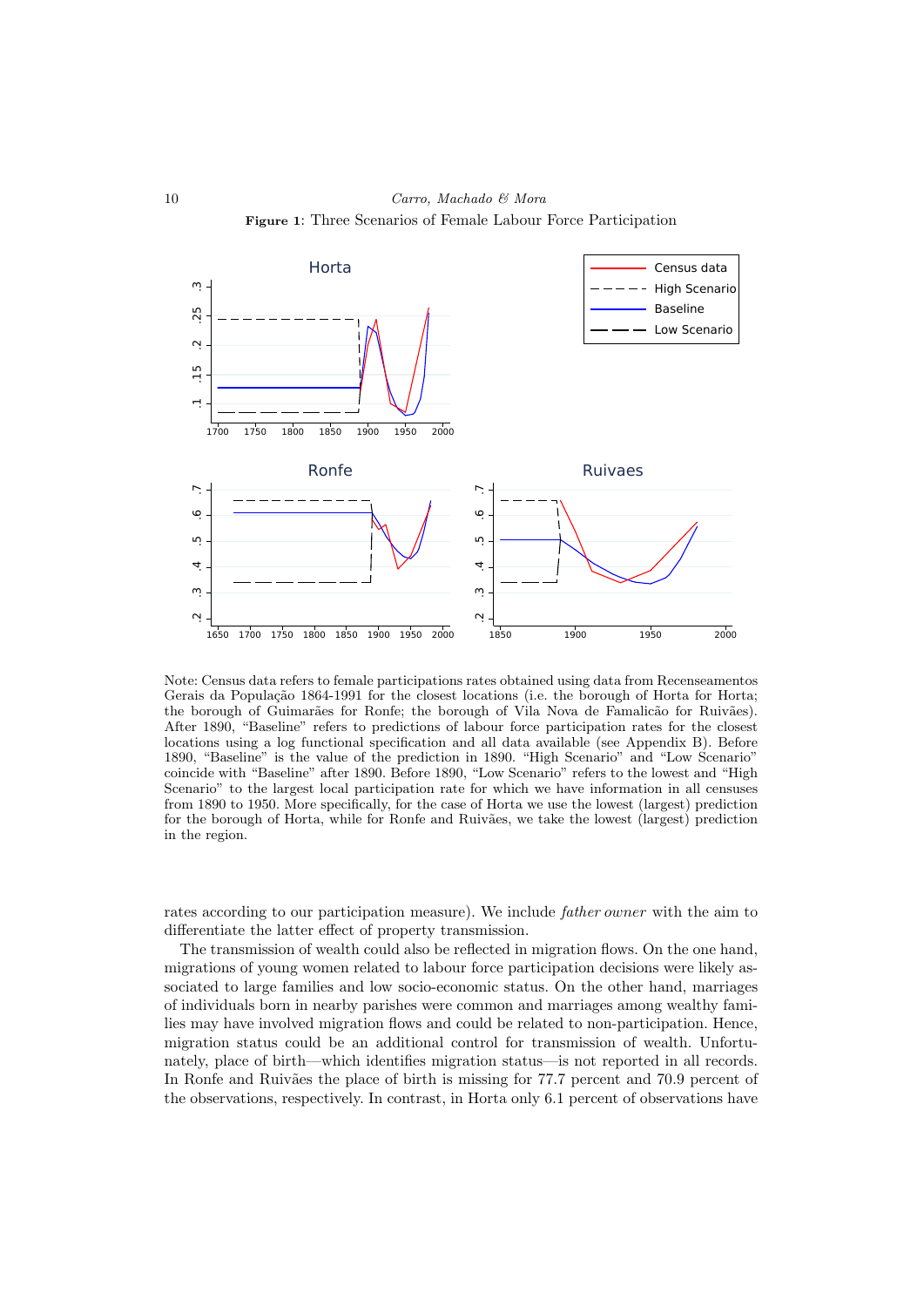

Note: Census data refers to female participations rates obtained using data from Recenseamentos Gerais da População 1864-1991 for the closest locations (i.e. the borough of Horta for Horta; the borough of Guimarães for Ronfe; the borough of Vila Nova de Famalicão for Ruivães). After 1890, "Baseline" refers to predictions of labour force participation rates for the closest locations using a log functional specification and all data available (see Appendix B). Before 1890, "Baseline" is the value of the prediction in 1890. "High Scenario" and "Low Scenario" coincide with "Baseline" after 1890. Before 1890, "Low Scenario" refers to the lowest and "High Scenario" to the largest local participation rate for which we have information in all censuses from 1890 to 1950. More specifically, for the case of Horta we use the lowest (largest) prediction for the borough of Horta, while for Ronfe and Ruivães, we take the lowest (largest) prediction in the region.

rates according to our participation measure). We include father owner with the aim to differentiate the latter effect of property transmission.

The transmission of wealth could also be reflected in migration flows. On the one hand, migrations of young women related to labour force participation decisions were likely associated to large families and low socio-economic status. On the other hand, marriages of individuals born in nearby parishes were common and marriages among wealthy families may have involved migration flows and could be related to non-participation. Hence, migration status could be an additional control for transmission of wealth. Unfortunately, place of birth—which identifies migration status—is not reported in all records. In Ronfe and Ruivães the place of birth is missing for 77.7 percent and 70.9 percent of the observations, respectively. In contrast, in Horta only 6.1 percent of observations have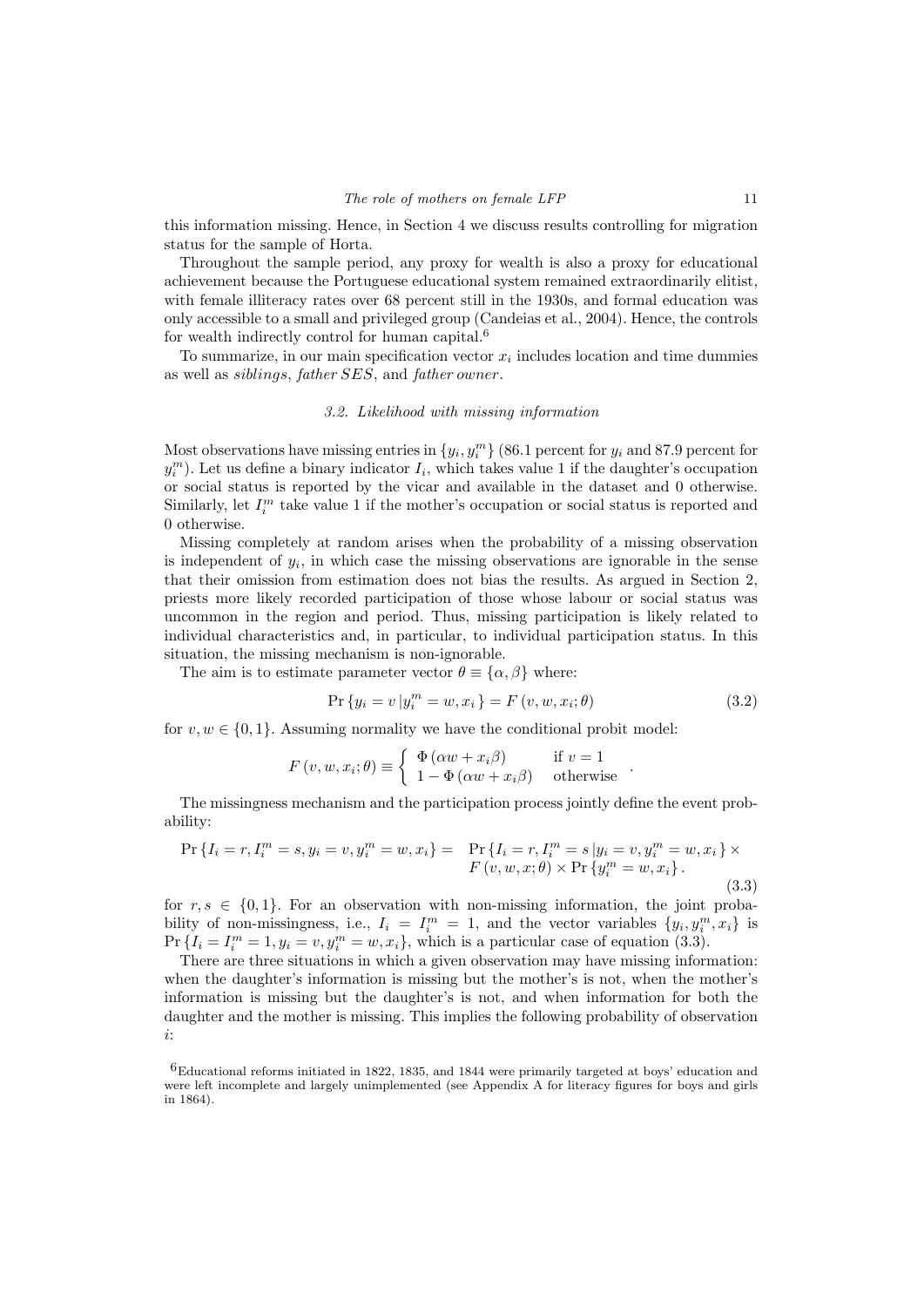this information missing. Hence, in Section 4 we discuss results controlling for migration status for the sample of Horta.

Throughout the sample period, any proxy for wealth is also a proxy for educational achievement because the Portuguese educational system remained extraordinarily elitist, with female illiteracy rates over 68 percent still in the 1930s, and formal education was only accessible to a small and privileged group (Candeias et al., 2004). Hence, the controls for wealth indirectly control for human capital.<sup>6</sup>

To summarize, in our main specification vector  $x_i$  includes location and time dummies as well as siblings, father SES, and father owner.

#### 3.2. Likelihood with missing information

Most observations have missing entries in  $\{y_i, y_i^m\}$  (86.1 percent for  $y_i$  and 87.9 percent for  $y_i^m$ ). Let us define a binary indicator  $I_i$ , which takes value 1 if the daughter's occupation or social status is reported by the vicar and available in the dataset and 0 otherwise. Similarly, let  $I_i^m$  take value 1 if the mother's occupation or social status is reported and 0 otherwise.

Missing completely at random arises when the probability of a missing observation is independent of  $y_i$ , in which case the missing observations are ignorable in the sense that their omission from estimation does not bias the results. As argued in Section 2, priests more likely recorded participation of those whose labour or social status was uncommon in the region and period. Thus, missing participation is likely related to individual characteristics and, in particular, to individual participation status. In this situation, the missing mechanism is non-ignorable.

The aim is to estimate parameter vector  $\theta \equiv {\alpha, \beta}$  where:

$$
\Pr\{y_i = v \, | \, y_i^m = w, x_i\} = F\left(v, w, x_i; \theta\right) \tag{3.2}
$$

for  $v, w \in \{0, 1\}$ . Assuming normality we have the conditional probit model:

$$
F(v, w, x_i; \theta) \equiv \begin{cases} \Phi(\alpha w + x_i \beta) & \text{if } v = 1 \\ 1 - \Phi(\alpha w + x_i \beta) & \text{otherwise} \end{cases}.
$$

The missingness mechanism and the participation process jointly define the event probability:

$$
\Pr\left\{I_i = r, I_i^m = s, y_i = v, y_i^m = w, x_i\right\} = \Pr\left\{I_i = r, I_i^m = s | y_i = v, y_i^m = w, x_i\right\} \times F\left(v, w, x; \theta\right) \times \Pr\left\{y_i^m = w, x_i\right\}.
$$
\n(3.3)

for  $r, s \in \{0, 1\}$ . For an observation with non-missing information, the joint probability of non-missingness, i.e.,  $I_i = I_i^m = 1$ , and the vector variables  $\{y_i, y_i^m, x_i\}$  is  $Pr\{I_i = I_i^m = 1, y_i = v, y_i^m = w, x_i\}$ , which is a particular case of equation (3.3).

There are three situations in which a given observation may have missing information: when the daughter's information is missing but the mother's is not, when the mother's information is missing but the daughter's is not, and when information for both the daughter and the mother is missing. This implies the following probability of observation i:

<sup>6</sup>Educational reforms initiated in 1822, 1835, and 1844 were primarily targeted at boys' education and were left incomplete and largely unimplemented (see Appendix A for literacy figures for boys and girls in 1864).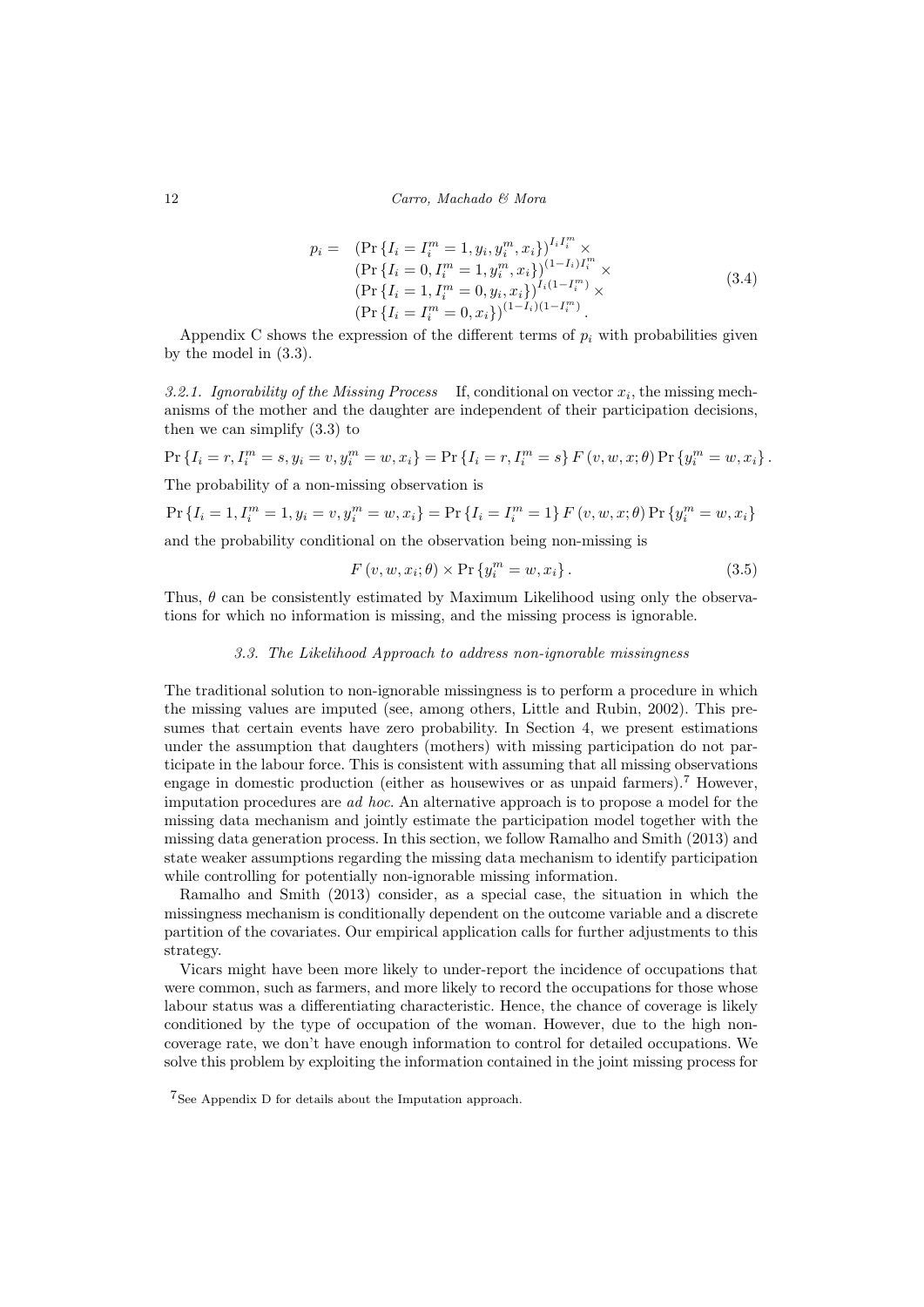$$
p_i = (Pr \{I_i = I_i^m = 1, y_i, y_i^m, x_i\})^{I_i I_i^m} \times
$$
  
\n
$$
(Pr \{I_i = 0, I_i^m = 1, y_i^m, x_i\})^{(1 - I_i) I_i^m} \times
$$
  
\n
$$
(Pr \{I_i = 1, I_i^m = 0, y_i, x_i\})^{I_i (1 - I_i^m)} \times
$$
  
\n
$$
(Pr \{I_i = I_i^m = 0, x_i\})^{(1 - I_i)(1 - I_i^m)}.
$$
\n(3.4)

Appendix C shows the expression of the different terms of  $p_i$  with probabilities given by the model in (3.3).

3.2.1. Ignorability of the Missing Process If, conditional on vector  $x_i$ , the missing mechanisms of the mother and the daughter are independent of their participation decisions, then we can simplify (3.3) to

$$
\Pr\left\{I_i = r, I_i^m = s, y_i = v, y_i^m = w, x_i\right\} = \Pr\left\{I_i = r, I_i^m = s\right\} F\left(v, w, x; \theta\right) \Pr\left\{y_i^m = w, x_i\right\}.
$$

The probability of a non-missing observation is

$$
\Pr\left\{I_i=1, I_i^m=1, y_i=v, y_i^m=w, x_i\right\} = \Pr\left\{I_i=I_i^m=1\right\} F\left(v, w, x; \theta\right) \Pr\left\{y_i^m=w, x_i\right\}
$$

and the probability conditional on the observation being non-missing is

$$
F(v, w, x_i; \theta) \times \Pr\{y_i^m = w, x_i\}.
$$
\n(3.5)

Thus,  $\theta$  can be consistently estimated by Maximum Likelihood using only the observations for which no information is missing, and the missing process is ignorable.

## 3.3. The Likelihood Approach to address non-ignorable missingness

The traditional solution to non-ignorable missingness is to perform a procedure in which the missing values are imputed (see, among others, Little and Rubin, 2002). This presumes that certain events have zero probability. In Section 4, we present estimations under the assumption that daughters (mothers) with missing participation do not participate in the labour force. This is consistent with assuming that all missing observations engage in domestic production (either as housewives or as unpaid farmers).<sup>7</sup> However, imputation procedures are ad hoc. An alternative approach is to propose a model for the missing data mechanism and jointly estimate the participation model together with the missing data generation process. In this section, we follow Ramalho and Smith (2013) and state weaker assumptions regarding the missing data mechanism to identify participation while controlling for potentially non-ignorable missing information.

Ramalho and Smith (2013) consider, as a special case, the situation in which the missingness mechanism is conditionally dependent on the outcome variable and a discrete partition of the covariates. Our empirical application calls for further adjustments to this strategy.

Vicars might have been more likely to under-report the incidence of occupations that were common, such as farmers, and more likely to record the occupations for those whose labour status was a differentiating characteristic. Hence, the chance of coverage is likely conditioned by the type of occupation of the woman. However, due to the high noncoverage rate, we don't have enough information to control for detailed occupations. We solve this problem by exploiting the information contained in the joint missing process for

<sup>7</sup>See Appendix D for details about the Imputation approach.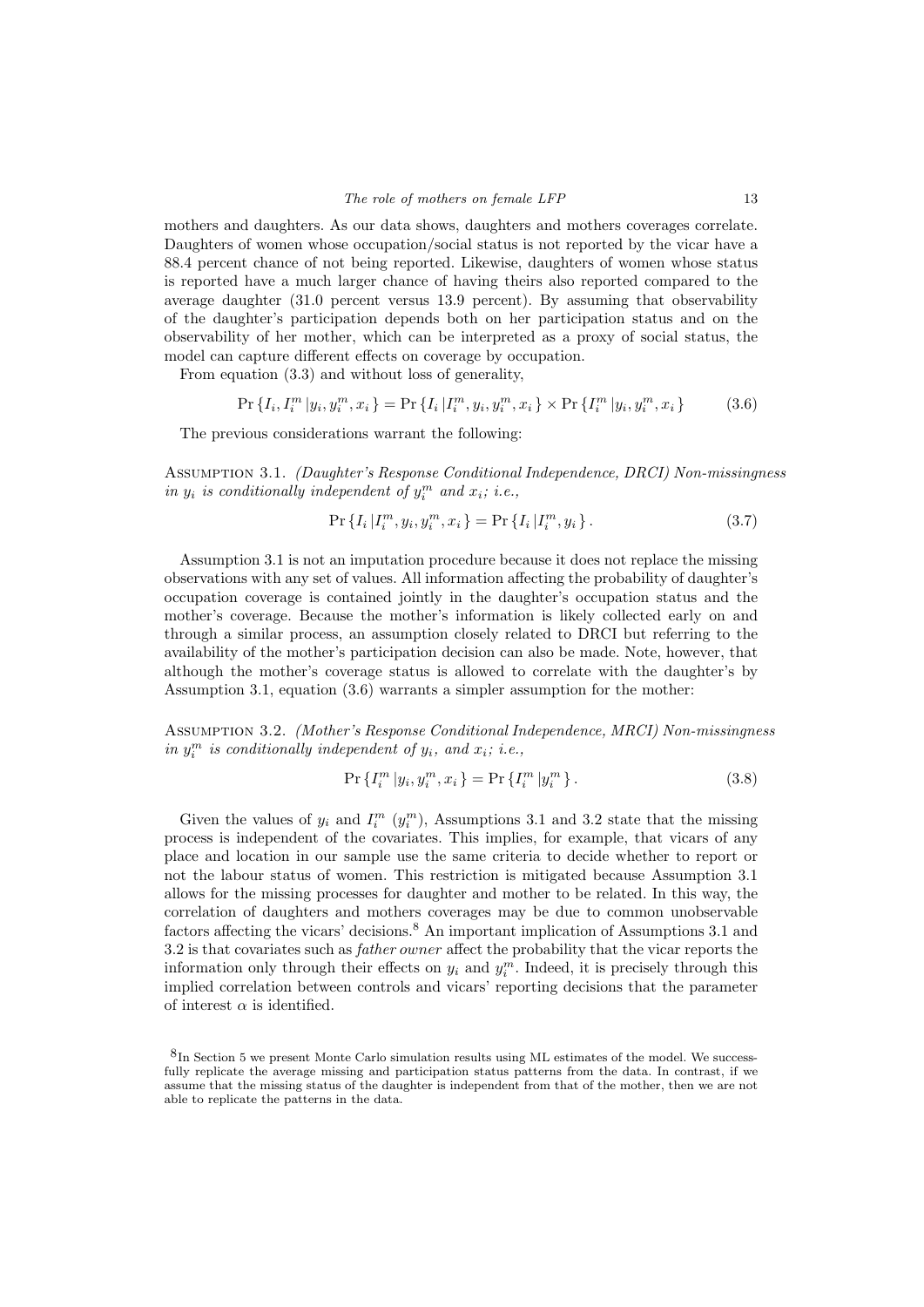mothers and daughters. As our data shows, daughters and mothers coverages correlate. Daughters of women whose occupation/social status is not reported by the vicar have a 88.4 percent chance of not being reported. Likewise, daughters of women whose status is reported have a much larger chance of having theirs also reported compared to the average daughter (31.0 percent versus 13.9 percent). By assuming that observability of the daughter's participation depends both on her participation status and on the observability of her mother, which can be interpreted as a proxy of social status, the model can capture different effects on coverage by occupation.

From equation (3.3) and without loss of generality,

$$
\Pr\left\{I_{i}, I_{i}^{m} | y_{i}, y_{i}^{m}, x_{i}\right\} = \Pr\left\{I_{i} | I_{i}^{m}, y_{i}, y_{i}^{m}, x_{i}\right\} \times \Pr\left\{I_{i}^{m} | y_{i}, y_{i}^{m}, x_{i}\right\} \tag{3.6}
$$

The previous considerations warrant the following:

Assumption 3.1. (Daughter's Response Conditional Independence, DRCI) Non-missingness in  $y_i$  is conditionally independent of  $y_i^m$  and  $x_i$ ; i.e.,

$$
\Pr\left\{I_i|I_i^m, y_i, y_i^m, x_i\right\} = \Pr\left\{I_i|I_i^m, y_i\right\}.
$$
\n(3.7)

Assumption 3.1 is not an imputation procedure because it does not replace the missing observations with any set of values. All information affecting the probability of daughter's occupation coverage is contained jointly in the daughter's occupation status and the mother's coverage. Because the mother's information is likely collected early on and through a similar process, an assumption closely related to DRCI but referring to the availability of the mother's participation decision can also be made. Note, however, that although the mother's coverage status is allowed to correlate with the daughter's by Assumption 3.1, equation (3.6) warrants a simpler assumption for the mother:

Assumption 3.2. (Mother's Response Conditional Independence, MRCI) Non-missingness in  $y_i^m$  is conditionally independent of  $y_i$ , and  $x_i$ ; i.e.,

$$
\Pr\left\{I_i^m \, | y_i, y_i^m, x_i\right\} = \Pr\left\{I_i^m \, | y_i^m\right\}.
$$
\n(3.8)

Given the values of  $y_i$  and  $I_i^m$   $(y_i^m)$ , Assumptions 3.1 and 3.2 state that the missing process is independent of the covariates. This implies, for example, that vicars of any place and location in our sample use the same criteria to decide whether to report or not the labour status of women. This restriction is mitigated because Assumption 3.1 allows for the missing processes for daughter and mother to be related. In this way, the correlation of daughters and mothers coverages may be due to common unobservable factors affecting the vicars' decisions.<sup>8</sup> An important implication of Assumptions 3.1 and 3.2 is that covariates such as father owner affect the probability that the vicar reports the information only through their effects on  $y_i$  and  $y_i^m$ . Indeed, it is precisely through this implied correlation between controls and vicars' reporting decisions that the parameter of interest  $\alpha$  is identified.

<sup>8</sup>In Section 5 we present Monte Carlo simulation results using ML estimates of the model. We successfully replicate the average missing and participation status patterns from the data. In contrast, if we assume that the missing status of the daughter is independent from that of the mother, then we are not able to replicate the patterns in the data.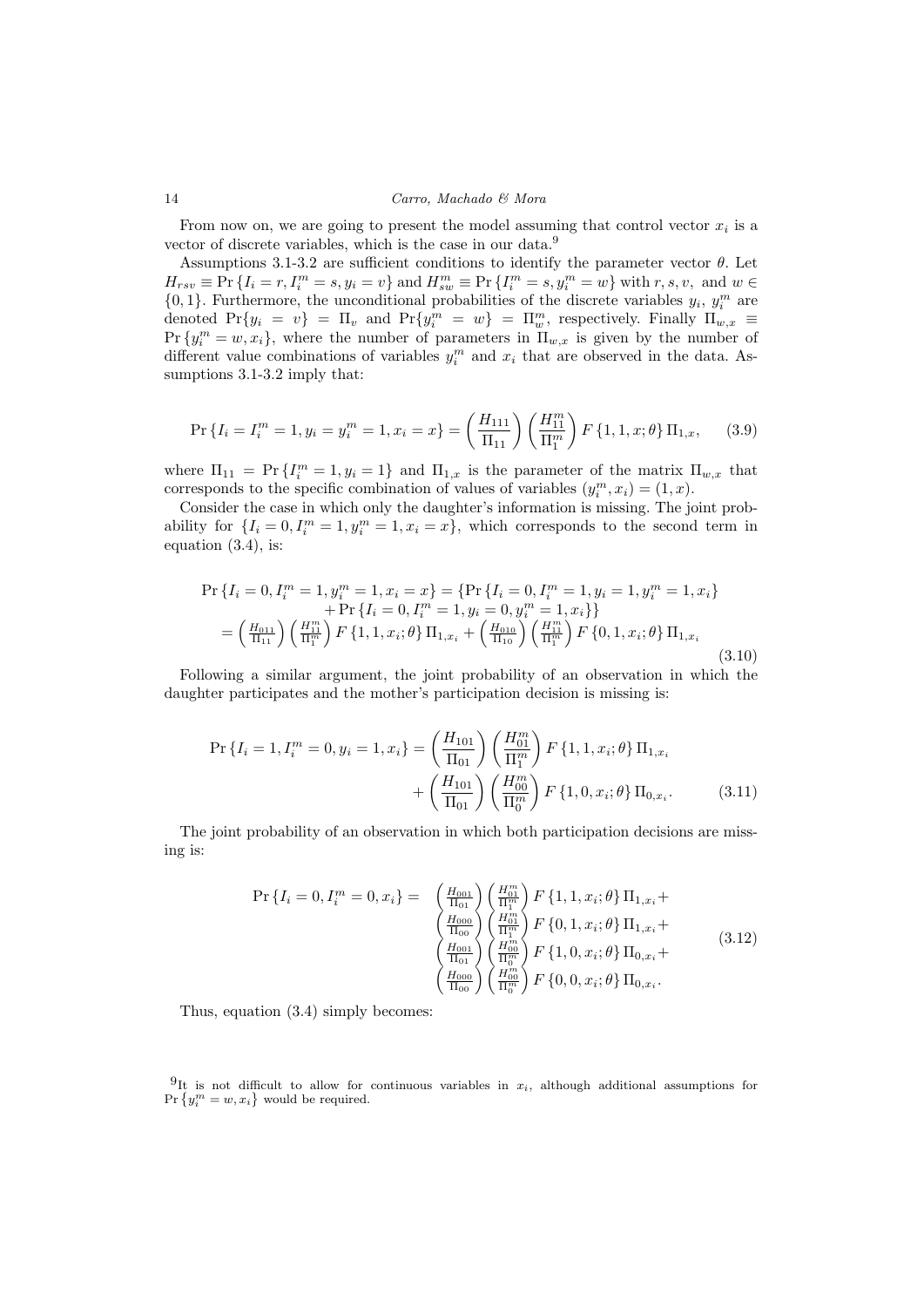From now on, we are going to present the model assuming that control vector  $x_i$  is a vector of discrete variables, which is the case in our data.<sup>9</sup>

Assumptions 3.1-3.2 are sufficient conditions to identify the parameter vector  $\theta$ . Let  $H_{rsv} \equiv \Pr \{ I_i = r, I_i^m = s, y_i = v \}$  and  $H_{sw}^m \equiv \Pr \{ I_i^m = s, y_i^m = w \}$  with  $r, s, v$ , and  $w \in$  $\{0,1\}$ . Furthermore, the unconditional probabilities of the discrete variables  $y_i$ ,  $y_i^m$  are denoted  $Pr\{y_i = v\} = \Pi_v$  and  $Pr\{y_i^m = w\} = \Pi_w^m$ , respectively. Finally  $\Pi_{w,x}$  $Pr\{y_i^m = w, x_i\}$ , where the number of parameters in  $\Pi_{w,x}$  is given by the number of different value combinations of variables  $y_i^m$  and  $x_i$  that are observed in the data. Assumptions 3.1-3.2 imply that:

$$
\Pr\left\{I_i = I_i^m = 1, y_i = y_i^m = 1, x_i = x\right\} = \left(\frac{H_{111}}{\Pi_{11}}\right) \left(\frac{H_{11}^m}{\Pi_{11}^m}\right) F\left\{1, 1, x; \theta\right\} \Pi_{1,x},\tag{3.9}
$$

where  $\Pi_{11} = \Pr \{I_i^m = 1, y_i = 1\}$  and  $\Pi_{1,x}$  is the parameter of the matrix  $\Pi_{w,x}$  that corresponds to the specific combination of values of variables  $(y_i^m, x_i) = (1, x)$ .

Consider the case in which only the daughter's information is missing. The joint probability for  $\{I_i = 0, I_i^m = 1, y_i^m = 1, x_i = x\}$ , which corresponds to the second term in equation  $(3.4)$ , is:

$$
\Pr\left\{I_i = 0, I_i^m = 1, y_i^m = 1, x_i = x\right\} = \left\{\Pr\left\{I_i = 0, I_i^m = 1, y_i = 1, y_i^m = 1, x_i\right\}\right.\n\left. + \Pr\left\{I_i = 0, I_i^m = 1, y_i = 0, y_i^m = 1, x_i\right\}\right\}\n= \left(\frac{H_{011}}{\Pi_{11}}\right) \left(\frac{H_{11}^m}{\Pi_{11}^m}\right) F\left\{1, 1, x_i; \theta\right\} \Pi_{1, x_i} + \left(\frac{H_{010}}{\Pi_{10}}\right) \left(\frac{H_{11}^m}{\Pi_{11}^m}\right) F\left\{0, 1, x_i; \theta\right\} \Pi_{1, x_i}\n\right.\n\tag{3.10}
$$

Following a similar argument, the joint probability of an observation in which the daughter participates and the mother's participation decision is missing is:

$$
\Pr\left\{I_i = 1, I_i^m = 0, y_i = 1, x_i\right\} = \left(\frac{H_{101}}{\Pi_{01}}\right) \left(\frac{H_{01}^m}{\Pi_{11}^m}\right) F\left\{1, 1, x_i; \theta\right\} \Pi_{1, x_i} + \left(\frac{H_{101}}{\Pi_{01}}\right) \left(\frac{H_{00}^m}{\Pi_{01}^m}\right) F\left\{1, 0, x_i; \theta\right\} \Pi_{0, x_i}.
$$
\n(3.11)

The joint probability of an observation in which both participation decisions are missing is:

$$
\Pr\left\{I_{i}=0,I_{i}^{m}=0,x_{i}\right\} = \begin{pmatrix} \frac{H_{001}}{\Pi_{01}} \\ \frac{H_{001}}{\Pi_{01}} \end{pmatrix} \begin{pmatrix} \frac{H_{01}^{m}}{\Pi_{1}^{m}} \\ \frac{H_{000}}{\Pi_{10}} \end{pmatrix} F\left\{1,1,x_{i};\theta\right\} \Pi_{1,x_{i}} + \begin{pmatrix} \frac{H_{000}}{\Pi_{00}} \\ \frac{H_{001}}{\Pi_{01}} \end{pmatrix} \begin{pmatrix} \frac{H_{01}^{m}}{\Pi_{1}^{m}} \\ \frac{H_{001}^{m}}{\Pi_{01}} \end{pmatrix} F\left\{0,1,x_{i};\theta\right\} \Pi_{1,x_{i}} + \begin{pmatrix} \frac{H_{000}}{\Pi_{01}} \\ \frac{H_{000}}{\Pi_{00}} \end{pmatrix} \begin{pmatrix} \frac{H_{00}^{m}}{\Pi_{0}^{m}} \\ \frac{H_{00}^{m}}{\Pi_{01}} \end{pmatrix} F\left\{0,0,x_{i};\theta\right\} \Pi_{0,x_{i}}.
$$
\n(3.12)

Thus, equation (3.4) simply becomes:

<sup>9</sup>It is not difficult to allow for continuous variables in  $x_i$ , although additional assumptions for  $Pr\{y_i^m = w, x_i\}$  would be required.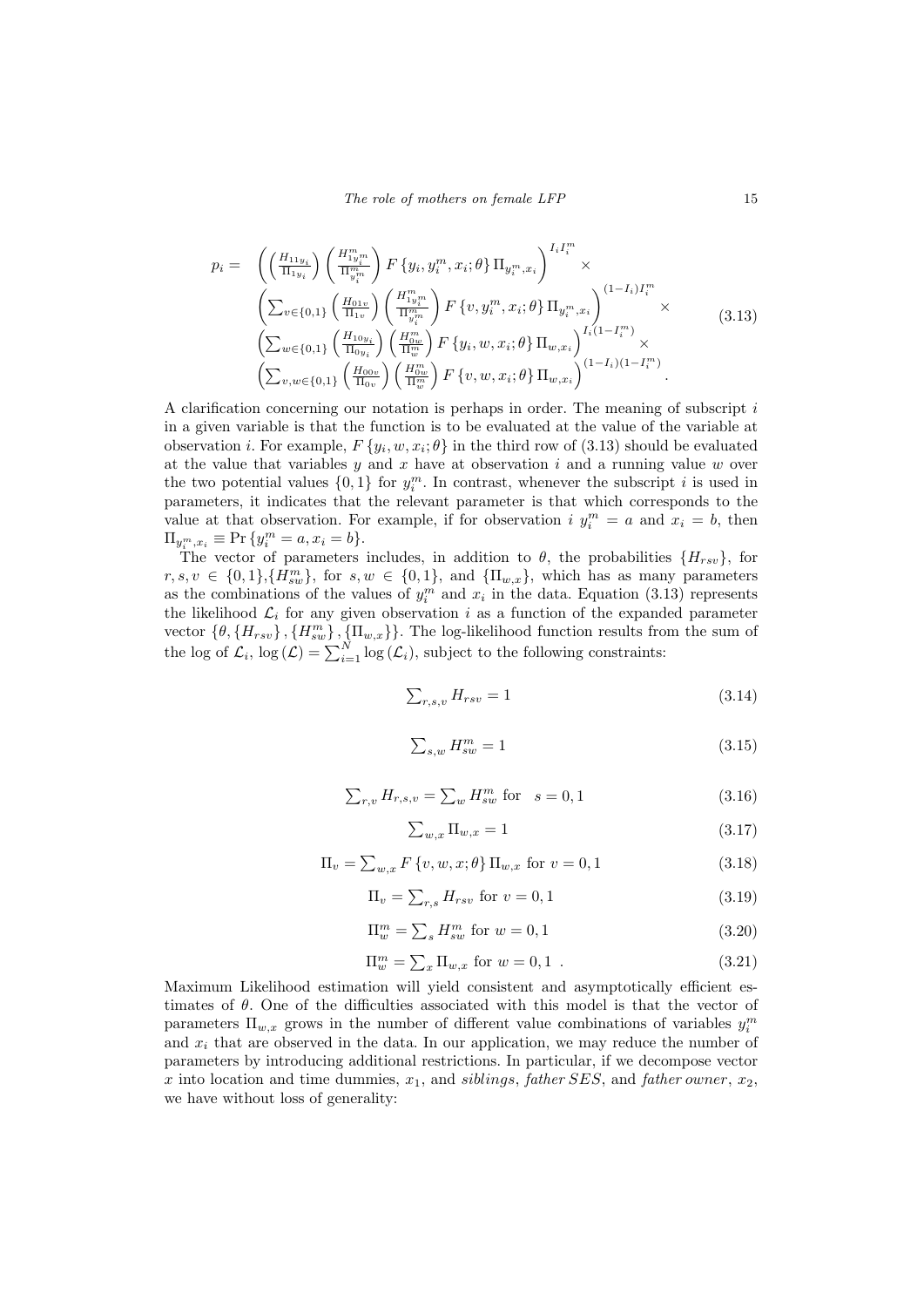$$
p_{i} = \left( \left( \frac{H_{11y_{i}}}{\Pi_{1y_{i}}} \right) \left( \frac{H_{1y_{i}}^{m}}{\Pi_{y_{i}}^{m}} \right) F \left\{ y_{i}, y_{i}^{m}, x_{i}; \theta \right\} \Pi_{y_{i}^{m}, x_{i}} \right)^{I_{i} I_{i}^{m}} \times \n\left( \sum_{v \in \{0,1\}} \left( \frac{H_{01v}}{\Pi_{1v}} \right) \left( \frac{H_{1y_{i}}^{m}}{\Pi_{y_{i}}^{m}} \right) F \left\{ v, y_{i}^{m}, x_{i}; \theta \right\} \Pi_{y_{i}^{m}, x_{i}} \right)^{(1-I_{i})I_{i}^{m}} \times \n\left( \sum_{w \in \{0,1\}} \left( \frac{H_{10y_{i}}}{\Pi_{0y_{i}}} \right) \left( \frac{H_{1y_{i}}^{m}}{\Pi_{w}^{m}} \right) F \left\{ y_{i}, w, x_{i}; \theta \right\} \Pi_{w, x_{i}} \right)^{I_{i}(1-I_{i}^{m})} \times \n\left( \sum_{v, w \in \{0,1\}} \left( \frac{H_{00v}}{\Pi_{0v}} \right) \left( \frac{H_{0w}^{m}}{\Pi_{w}^{m}} \right) F \left\{ v, w, x_{i}; \theta \right\} \Pi_{w, x_{i}} \right)^{(1-I_{i})(1-I_{i}^{m})}.
$$
\n(3.13)

A clarification concerning our notation is perhaps in order. The meaning of subscript i in a given variable is that the function is to be evaluated at the value of the variable at observation *i*. For example,  $F\{y_i, w, x_i; \theta\}$  in the third row of (3.13) should be evaluated at the value that variables  $y$  and  $x$  have at observation  $i$  and a running value  $w$  over the two potential values  $\{0,1\}$  for  $y_i^m$ . In contrast, whenever the subscript i is used in parameters, it indicates that the relevant parameter is that which corresponds to the value at that observation. For example, if for observation  $i$   $y_i^m = a$  and  $x_i = b$ , then  $\Pi_{y_i^m, x_i} \equiv \Pr\{y_i^m = a, x_i = b\}.$ 

The vector of parameters includes, in addition to  $\theta$ , the probabilities  $\{H_{rsv}\}\$ , for  $r, s, v \in \{0, 1\}, \{H_{sw}^m\},\$  for  $s, w \in \{0, 1\},\$  and  $\{\Pi_{w,x}\}\$ , which has as many parameters as the combinations of the values of  $y_i^m$  and  $x_i$  in the data. Equation (3.13) represents the likelihood  $\mathcal{L}_i$  for any given observation i as a function of the expanded parameter vector  $\{\theta, \{H_{rsv}\}, \{H_{sw}^m\}, \{\Pi_{w,x}\}\}\$ . The log-likelihood function results from the sum of the log of  $\mathcal{L}_i$ ,  $\log(\mathcal{L}) = \sum_{i=1}^N \log(\mathcal{L}_i)$ , subject to the following constraints:

$$
\sum_{r,s,v} H_{rsv} = 1\tag{3.14}
$$

$$
\sum_{s,w} H_{sw}^m = 1\tag{3.15}
$$

$$
\sum_{r,v} H_{r,s,v} = \sum_{w} H_{sw}^m \text{ for } s = 0,1
$$
\n(3.16)

$$
\sum_{w,x} \Pi_{w,x} = 1 \tag{3.17}
$$

$$
\Pi_v = \sum_{w,x} F\{v, w, x; \theta\} \Pi_{w,x} \text{ for } v = 0, 1
$$
\n(3.18)

$$
\Pi_v = \sum_{r,s} H_{rsv} \text{ for } v = 0, 1 \tag{3.19}
$$

$$
\Pi_w^m = \sum_s H_{sw}^m \text{ for } w = 0, 1 \tag{3.20}
$$

$$
\Pi_w^m = \sum_x \Pi_{w,x} \text{ for } w = 0, 1 \tag{3.21}
$$

Maximum Likelihood estimation will yield consistent and asymptotically efficient estimates of  $\theta$ . One of the difficulties associated with this model is that the vector of parameters  $\Pi_{w,x}$  grows in the number of different value combinations of variables  $y_i^m$ and  $x_i$  that are observed in the data. In our application, we may reduce the number of parameters by introducing additional restrictions. In particular, if we decompose vector x into location and time dummies,  $x_1$ , and siblings, father SES, and father owner,  $x_2$ , we have without loss of generality: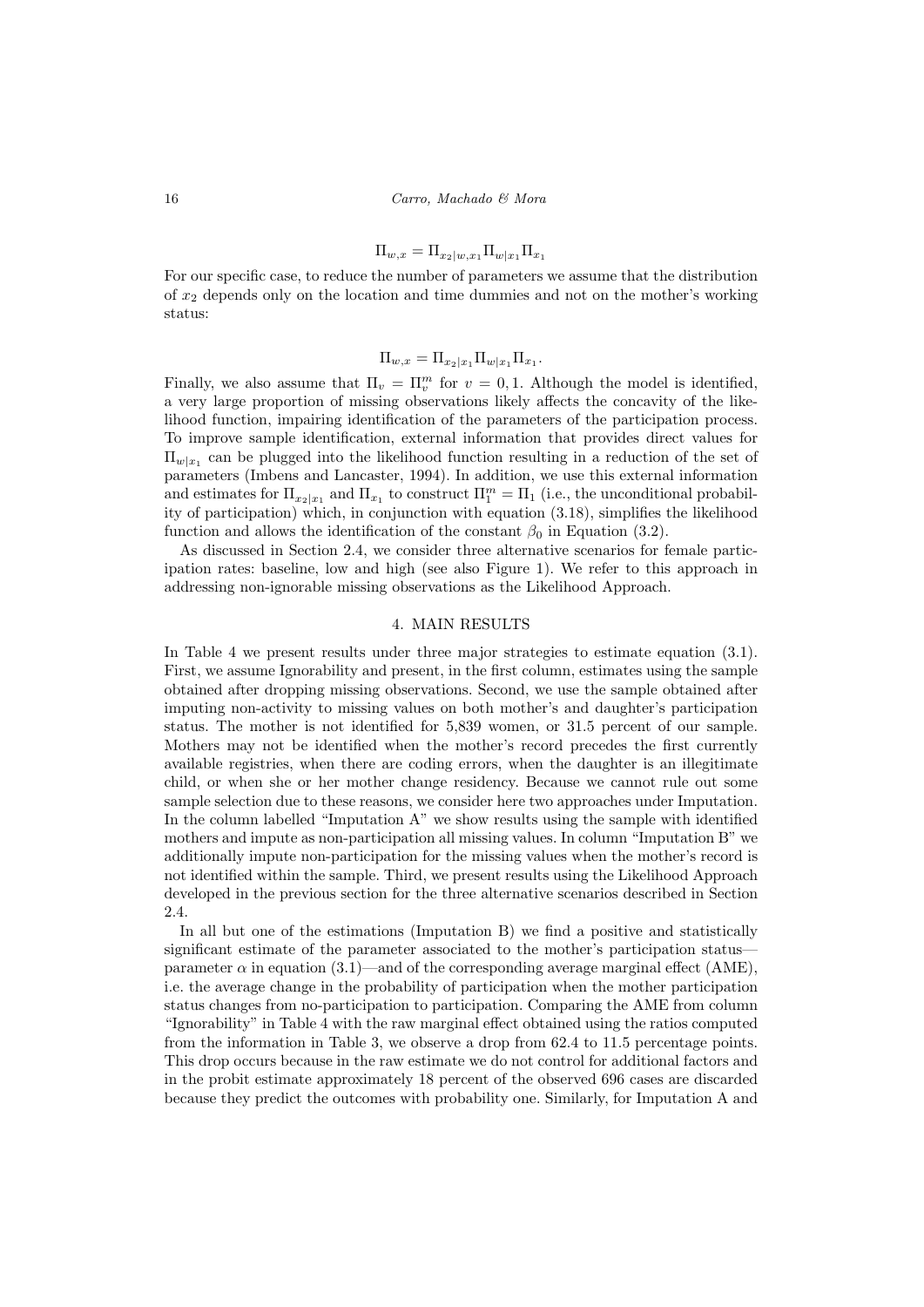$$
\Pi_{w,x} = \Pi_{x_2|w,x_1} \Pi_{w|x_1} \Pi_{x_1}
$$

For our specific case, to reduce the number of parameters we assume that the distribution of  $x_2$  depends only on the location and time dummies and not on the mother's working status:

## $\Pi_{w,x} = \Pi_{x_2|x_1} \Pi_{w|x_1} \Pi_{x_1}.$

Finally, we also assume that  $\Pi_v = \Pi_v^m$  for  $v = 0, 1$ . Although the model is identified, a very large proportion of missing observations likely affects the concavity of the likelihood function, impairing identification of the parameters of the participation process. To improve sample identification, external information that provides direct values for  $\Pi_{w|x_1}$  can be plugged into the likelihood function resulting in a reduction of the set of parameters (Imbens and Lancaster, 1994). In addition, we use this external information and estimates for  $\Pi_{x_2|x_1}$  and  $\Pi_{x_1}$  to construct  $\Pi_1^m = \Pi_1$  (i.e., the unconditional probability of participation) which, in conjunction with equation (3.18), simplifies the likelihood function and allows the identification of the constant  $\beta_0$  in Equation (3.2).

As discussed in Section 2.4, we consider three alternative scenarios for female participation rates: baseline, low and high (see also Figure 1). We refer to this approach in addressing non-ignorable missing observations as the Likelihood Approach.

## 4. MAIN RESULTS

In Table 4 we present results under three major strategies to estimate equation (3.1). First, we assume Ignorability and present, in the first column, estimates using the sample obtained after dropping missing observations. Second, we use the sample obtained after imputing non-activity to missing values on both mother's and daughter's participation status. The mother is not identified for 5,839 women, or 31.5 percent of our sample. Mothers may not be identified when the mother's record precedes the first currently available registries, when there are coding errors, when the daughter is an illegitimate child, or when she or her mother change residency. Because we cannot rule out some sample selection due to these reasons, we consider here two approaches under Imputation. In the column labelled "Imputation A" we show results using the sample with identified mothers and impute as non-participation all missing values. In column "Imputation B" we additionally impute non-participation for the missing values when the mother's record is not identified within the sample. Third, we present results using the Likelihood Approach developed in the previous section for the three alternative scenarios described in Section 2.4.

In all but one of the estimations (Imputation B) we find a positive and statistically significant estimate of the parameter associated to the mother's participation status parameter  $\alpha$  in equation (3.1)—and of the corresponding average marginal effect (AME), i.e. the average change in the probability of participation when the mother participation status changes from no-participation to participation. Comparing the AME from column "Ignorability" in Table 4 with the raw marginal effect obtained using the ratios computed from the information in Table 3, we observe a drop from 62.4 to 11.5 percentage points. This drop occurs because in the raw estimate we do not control for additional factors and in the probit estimate approximately 18 percent of the observed 696 cases are discarded because they predict the outcomes with probability one. Similarly, for Imputation A and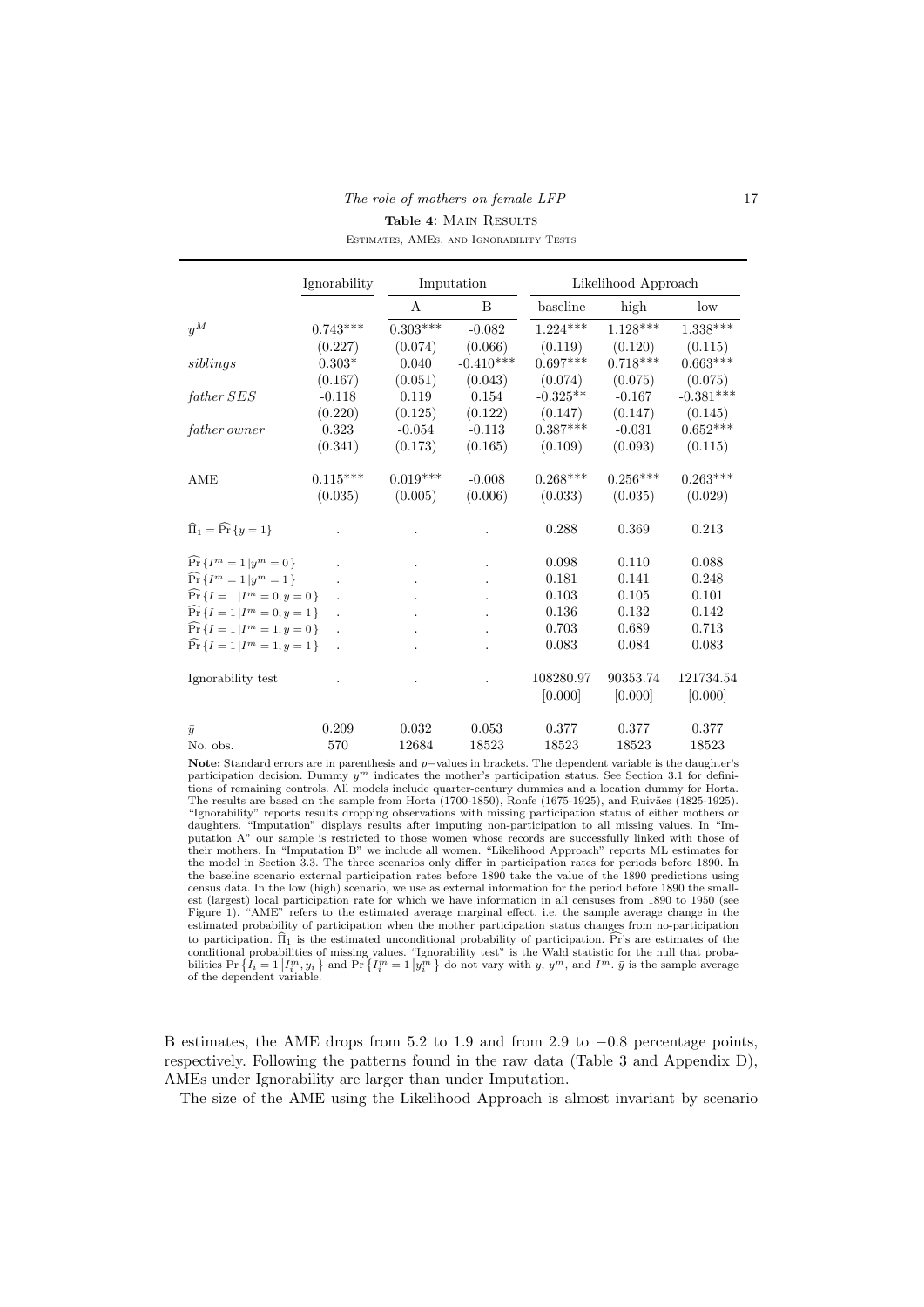| The role of mothers on female LFP       | 17 |
|-----------------------------------------|----|
| <b>Table 4: MAIN RESULTS</b>            |    |
| ESTIMATES, AMES, AND IGNORABILITY TESTS |    |

|                                                       | Ignorability         | Imputation |             | Likelihood Approach |            |             |  |  |
|-------------------------------------------------------|----------------------|------------|-------------|---------------------|------------|-------------|--|--|
|                                                       |                      | А          | B           | baseline            | high       | low         |  |  |
| $y^M$                                                 | $0.743***$           | $0.303***$ | $-0.082$    | $1.224***$          | $1.128***$ | $1.338***$  |  |  |
|                                                       | (0.227)              | (0.074)    | (0.066)     | (0.119)             | (0.120)    | (0.115)     |  |  |
| siblings                                              | $0.303*$             | 0.040      | $-0.410***$ | $0.697***$          | $0.718***$ | $0.663***$  |  |  |
|                                                       | (0.167)              | (0.051)    | (0.043)     | (0.074)             | (0.075)    | (0.075)     |  |  |
| father SES                                            | $-0.118$             | 0.119      | 0.154       | $-0.325**$          | $-0.167$   | $-0.381***$ |  |  |
|                                                       | (0.220)              | (0.125)    | (0.122)     | (0.147)             | (0.147)    | (0.145)     |  |  |
| $\emph{father owner}$                                 | 0.323                | $-0.054$   | $-0.113$    | $0.387***$          | $-0.031$   | $0.652***$  |  |  |
|                                                       | (0.341)              | (0.173)    | (0.165)     | (0.109)             | (0.093)    | (0.115)     |  |  |
| AME                                                   | $0.115***$           | $0.019***$ | $-0.008$    | $0.268***$          | $0.256***$ | $0.263***$  |  |  |
|                                                       | (0.035)              | (0.005)    | (0.006)     | (0.033)             | (0.035)    | (0.029)     |  |  |
|                                                       |                      |            |             |                     |            |             |  |  |
| $\widehat{\Pi}_1 = \widehat{\Pr} \{y = 1\}$           |                      |            |             | 0.288               | 0.369      | 0.213       |  |  |
| $\widehat{\Pr} \left\{ I^m = 1 \,   y^m = 0 \right\}$ |                      |            |             | 0.098               | 0.110      | 0.088       |  |  |
| $\widehat{\Pr} \{ I^m = 1   y^m = 1 \}$               |                      |            |             | 0.181               | 0.141      | 0.248       |  |  |
| $\widehat{\Pr} \{ I = 1   I^m = 0, y = 0 \}$          |                      |            |             | 0.103               | 0.105      | 0.101       |  |  |
| $\widehat{\Pr} \{ I = 1   I^m = 0, y = 1 \}$          |                      |            |             | 0.136               | 0.132      | 0.142       |  |  |
| $\widehat{\Pr} \{ I = 1   I^m = 1, y = 0 \}$          | $\ddot{\phantom{a}}$ |            |             | 0.703               | 0.689      | 0.713       |  |  |
| $Pr\{I=1 I^m=1,y=1\}$                                 |                      |            |             | 0.083               | 0.084      | 0.083       |  |  |
|                                                       |                      |            |             |                     |            |             |  |  |
| Ignorability test                                     |                      |            |             | 108280.97           | 90353.74   | 121734.54   |  |  |
|                                                       |                      |            |             | [0.000]             | [0.000]    | [0.000]     |  |  |
|                                                       |                      |            |             |                     |            |             |  |  |
| $\bar{y}$                                             | 0.209                | 0.032      | 0.053       | 0.377               | 0.377      | 0.377       |  |  |
| No. obs.                                              | 570                  | 12684      | 18523       | 18523               | 18523      | 18523       |  |  |

Note: Standard errors are in parenthesis and p−values in brackets. The dependent variable is the daughter's participation decision. Dummy  $y^m$  indicates the mother's participation status. See Section 3.1 for definitions of remaining controls. All models include quarter-century dummies and a location dummy for Horta. The results are based on the sample from Horta (1700-1850), Ronfe (1675-1925), and Ruivães (1825-1925). "Ignorability" reports results dropping observations with missing participation status of either mothers or daughters. "Imputation" displays results after imputing non-participation to all missing values. In "Imputation A" our sample is restricted to those women whose records are successfully linked with those of their mothers. In "Imputation B" we include all women. "Likelihood Approach" reports ML estimates for the model in Section 3.3. The three scenarios only differ in participation rates for periods before 1890. In the baseline scenario external participation rates before 1890 take the value of the 1890 predictions using census data. In the low (high) scenario, we use as external information for the period before 1890 the smallest (largest) local participation rate for which we have information in all censuses from 1890 to 1950 (see Figure 1). "AME" refers to the estimated average marginal effect, i.e. the sample average change in the estimated probability of participation when the mother participation status changes from no-participation to participation.  $\widehat{\Pi}_1$  is the estimated unconditional probability of participation. Pr's are estimates of the conditional probabilities of missing values. "Ignorability test" is the Wald statistic for the null that probabilities  $\Pr\left\{I_i = 1 \big| I_i^m, y_i\right\}$  and  $\Pr\left\{I_i^m = 1 \big| y_i^m \right\}$  do not vary with y,  $y^m$ , and  $I^m$ .  $\bar{y}$  is the sample average of the dependent variable.

B estimates, the AME drops from 5.2 to 1.9 and from 2.9 to −0.8 percentage points, respectively. Following the patterns found in the raw data (Table 3 and Appendix D), AMEs under Ignorability are larger than under Imputation.

The size of the AME using the Likelihood Approach is almost invariant by scenario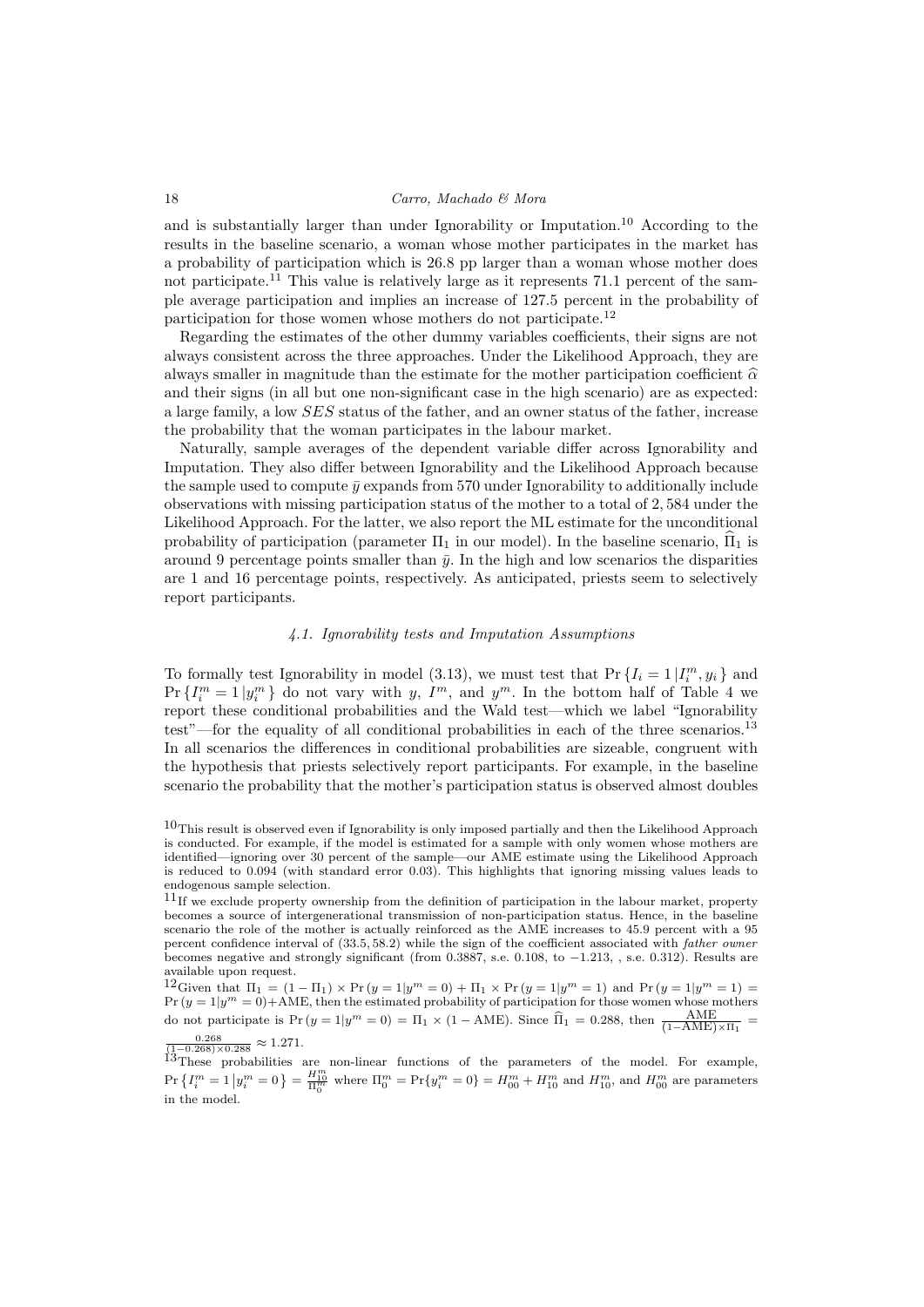and is substantially larger than under Ignorability or Imputation.<sup>10</sup> According to the results in the baseline scenario, a woman whose mother participates in the market has a probability of participation which is 26.8 pp larger than a woman whose mother does not participate.<sup>11</sup> This value is relatively large as it represents 71.1 percent of the sample average participation and implies an increase of 127.5 percent in the probability of participation for those women whose mothers do not participate.<sup>12</sup>

Regarding the estimates of the other dummy variables coefficients, their signs are not always consistent across the three approaches. Under the Likelihood Approach, they are always smaller in magnitude than the estimate for the mother participation coefficient  $\hat{\alpha}$ and their signs (in all but one non-significant case in the high scenario) are as expected: a large family, a low SES status of the father, and an owner status of the father, increase the probability that the woman participates in the labour market.

Naturally, sample averages of the dependent variable differ across Ignorability and Imputation. They also differ between Ignorability and the Likelihood Approach because the sample used to compute  $\bar{y}$  expands from 570 under Ignorability to additionally include observations with missing participation status of the mother to a total of 2, 584 under the Likelihood Approach. For the latter, we also report the ML estimate for the unconditional probability of participation (parameter  $\Pi_1$  in our model). In the baseline scenario,  $\widehat{\Pi}_1$  is around 9 percentage points smaller than  $\bar{y}$ . In the high and low scenarios the disparities are 1 and 16 percentage points, respectively. As anticipated, priests seem to selectively report participants.

#### 4.1. Ignorability tests and Imputation Assumptions

To formally test Ignorability in model (3.13), we must test that  $\Pr\{I_i = 1 | I_i^m, y_i\}$  and  $Pr\{I_i^m = 1 | y_i^m\}$  do not vary with y,  $I^m$ , and  $y^m$ . In the bottom half of Table 4 we report these conditional probabilities and the Wald test—which we label "Ignorability test"—for the equality of all conditional probabilities in each of the three scenarios.<sup>13</sup> In all scenarios the differences in conditional probabilities are sizeable, congruent with the hypothesis that priests selectively report participants. For example, in the baseline scenario the probability that the mother's participation status is observed almost doubles

 $\frac{0.268}{(1-0.268)\times 0.288} \approx 1.271.$ 

<sup>&</sup>lt;sup>10</sup>This result is observed even if Ignorability is only imposed partially and then the Likelihood Approach is conducted. For example, if the model is estimated for a sample with only women whose mothers are identified—ignoring over 30 percent of the sample—our AME estimate using the Likelihood Approach is reduced to 0.094 (with standard error 0.03). This highlights that ignoring missing values leads to endogenous sample selection.

 $11$ If we exclude property ownership from the definition of participation in the labour market, property becomes a source of intergenerational transmission of non-participation status. Hence, in the baseline scenario the role of the mother is actually reinforced as the AME increases to 45.9 percent with a 95 percent confidence interval of (33.5, 58.2) while the sign of the coefficient associated with father owner becomes negative and strongly significant (from 0.3887, s.e. 0.108, to −1.213, , s.e. 0.312). Results are available upon request.

 $12$  Given that  $\Pi_1 = (1 - \Pi_1) \times \Pr(y = 1|y^m = 0) + \Pi_1 \times \Pr(y = 1|y^m = 1)$  and  $\Pr(y = 1|y^m = 1) =$  $Pr(y = 1|y^m = 0) + \text{AME}$ , then the estimated probability of participation for those women whose mothers do not participate is  $Pr(y = 1|y^m = 0) = \Pi_1 \times (1 - \text{AME})$ . Since  $\hat{\Pi}_1 = 0.288$ , then  $\frac{AME}{(1 - AME) \times \Pi_1}$ 

 $13$ These probabilities are non-linear functions of the parameters of the model. For example,  $\Pr\left\{I_i^m=1\left|y_i^m=0\right.\right\}=\frac{H_{10}^m}{\Pi_0^m}$  where  $\Pi_0^m=\Pr\{y_i^m=0\}=H_{00}^m+H_{10}^m$  and  $H_{10}^m$ , and  $H_{00}^m$  are parameters in the model.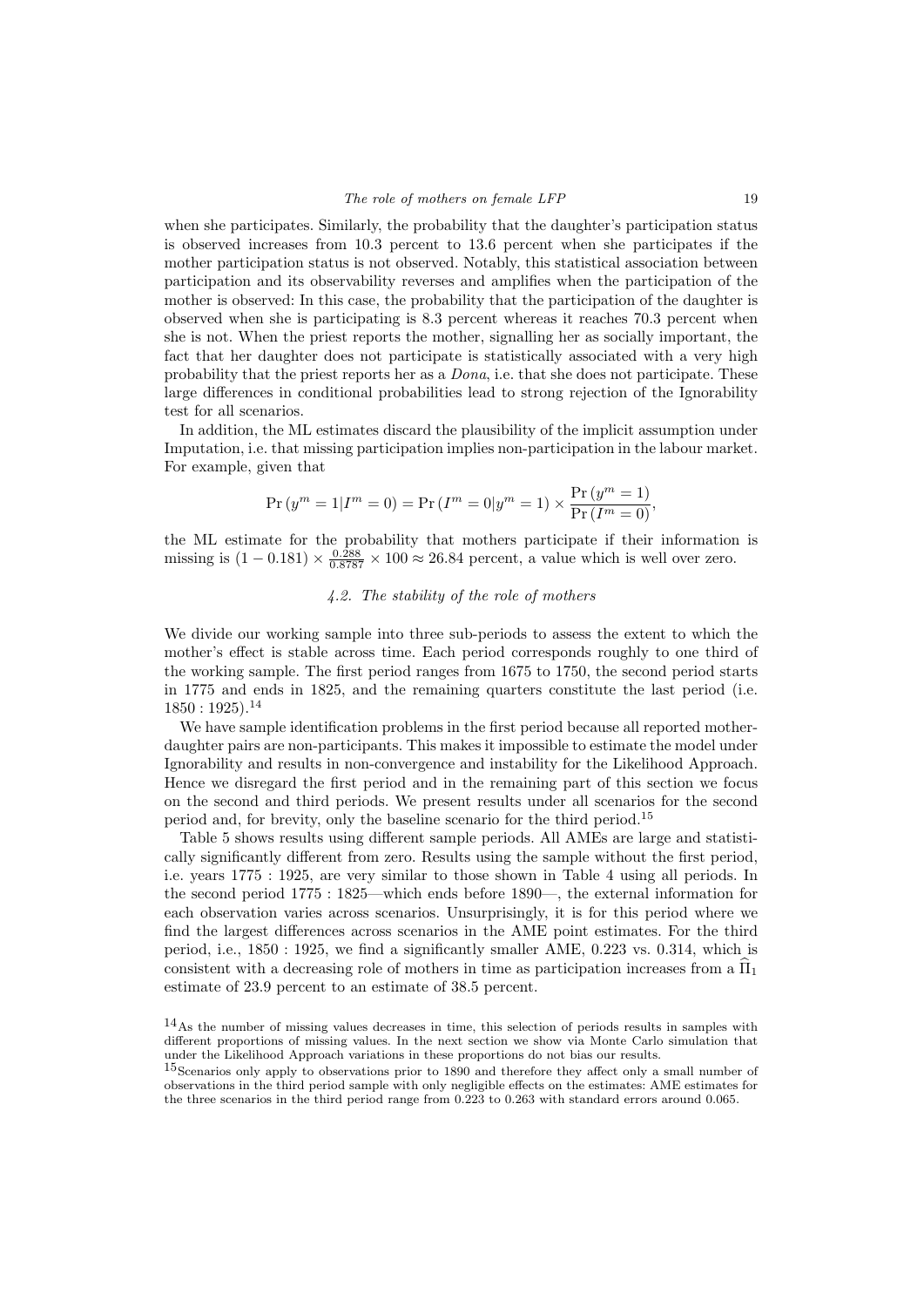when she participates. Similarly, the probability that the daughter's participation status is observed increases from 10.3 percent to 13.6 percent when she participates if the mother participation status is not observed. Notably, this statistical association between participation and its observability reverses and amplifies when the participation of the mother is observed: In this case, the probability that the participation of the daughter is observed when she is participating is 8.3 percent whereas it reaches 70.3 percent when she is not. When the priest reports the mother, signalling her as socially important, the fact that her daughter does not participate is statistically associated with a very high probability that the priest reports her as a Dona, i.e. that she does not participate. These large differences in conditional probabilities lead to strong rejection of the Ignorability test for all scenarios.

In addition, the ML estimates discard the plausibility of the implicit assumption under Imputation, i.e. that missing participation implies non-participation in the labour market. For example, given that

$$
\Pr(y^{m} = 1 | I^{m} = 0) = \Pr(I^{m} = 0 | y^{m} = 1) \times \frac{\Pr(y^{m} = 1)}{\Pr(I^{m} = 0)},
$$

the ML estimate for the probability that mothers participate if their information is missing is  $(1 - 0.181) \times \frac{0.288}{0.8787} \times 100 \approx 26.84$  percent, a value which is well over zero.

## 4.2. The stability of the role of mothers

We divide our working sample into three sub-periods to assess the extent to which the mother's effect is stable across time. Each period corresponds roughly to one third of the working sample. The first period ranges from 1675 to 1750, the second period starts in 1775 and ends in 1825, and the remaining quarters constitute the last period (i.e.  $1850 : 1925$ .<sup>14</sup>

We have sample identification problems in the first period because all reported motherdaughter pairs are non-participants. This makes it impossible to estimate the model under Ignorability and results in non-convergence and instability for the Likelihood Approach. Hence we disregard the first period and in the remaining part of this section we focus on the second and third periods. We present results under all scenarios for the second period and, for brevity, only the baseline scenario for the third period.<sup>15</sup>

Table 5 shows results using different sample periods. All AMEs are large and statistically significantly different from zero. Results using the sample without the first period, i.e. years 1775 : 1925, are very similar to those shown in Table 4 using all periods. In the second period 1775 : 1825—which ends before 1890—, the external information for each observation varies across scenarios. Unsurprisingly, it is for this period where we find the largest differences across scenarios in the AME point estimates. For the third period, i.e., 1850 : 1925, we find a significantly smaller AME, 0.223 vs. 0.314, which is consistent with a decreasing role of mothers in time as participation increases from a  $\hat{\Pi}_1$ estimate of 23.9 percent to an estimate of 38.5 percent.

<sup>14</sup>As the number of missing values decreases in time, this selection of periods results in samples with different proportions of missing values. In the next section we show via Monte Carlo simulation that under the Likelihood Approach variations in these proportions do not bias our results.

<sup>&</sup>lt;sup>15</sup>Scenarios only apply to observations prior to 1890 and therefore they affect only a small number of observations in the third period sample with only negligible effects on the estimates: AME estimates for the three scenarios in the third period range from 0.223 to 0.263 with standard errors around 0.065.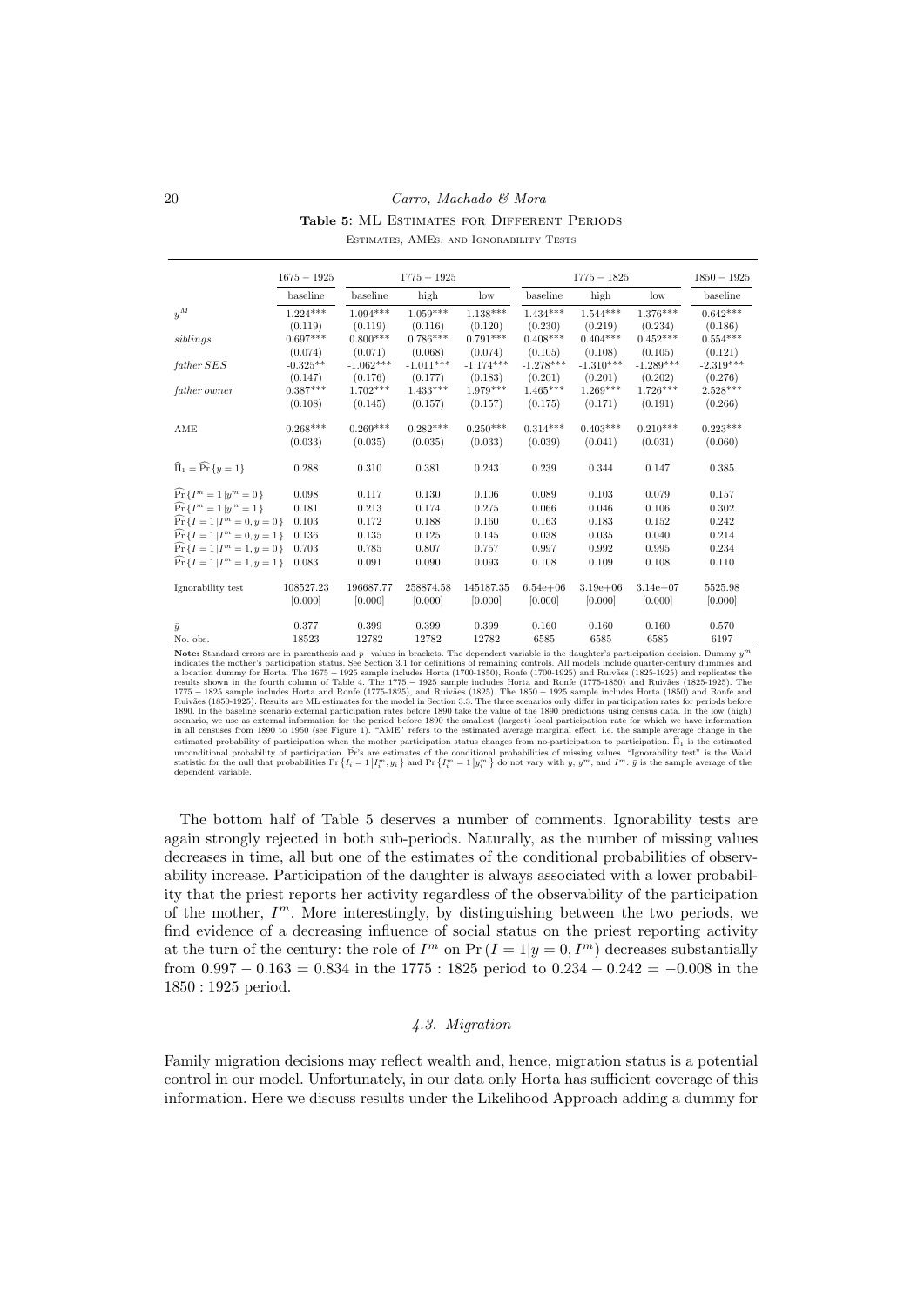Table 5: ML ESTIMATES FOR DIFFERENT PERIODS

|  |  | ESTIMATES, AMES, AND IGNORABILITY TESTS |  |
|--|--|-----------------------------------------|--|
|  |  |                                         |  |

|                                               | $1675 - 1925$ |                 | $1775 - 1925$ |                 |              | $1775 - 1825$ |                 | $1850 - 1925$ |
|-----------------------------------------------|---------------|-----------------|---------------|-----------------|--------------|---------------|-----------------|---------------|
|                                               | baseline      | baseline        | high          | $_{\text{low}}$ | baseline     | high          | $_{\text{low}}$ | baseline      |
| $u^M$                                         | $1.224***$    | $1.094^{***}\,$ | $1.059***$    | $1.138***$      | $1.434***$   | $1.544***$    | $1.376***$      | $0.642***$    |
|                                               | (0.119)       | (0.119)         | (0.116)       | (0.120)         | (0.230)      | (0.219)       | (0.234)         | (0.186)       |
| siblings                                      | $0.697***$    | $0.800***$      | $0.786***$    | $0.791***$      | $0.408***$   | $0.404***$    | $0.452***$      | $0.554***$    |
|                                               | (0.074)       | (0.071)         | (0.068)       | (0.074)         | (0.105)      | (0.108)       | (0.105)         | (0.121)       |
| father SES                                    | $-0.325**$    | $-1.062***$     | $-1.011***$   | $-1.174***$     | $-1.278***$  | $-1.310***$   | $-1.289***$     | $-2.319***$   |
|                                               | (0.147)       | (0.176)         | (0.177)       | (0.183)         | (0.201)      | (0.201)       | (0.202)         | (0.276)       |
| father owner                                  | $0.387***$    | $1.702***$      | $1.433***$    | $1.979***$      | $1.465***$   | $1.269***$    | $1.726***$      | $2.528***$    |
|                                               | (0.108)       | (0.145)         | (0.157)       | (0.157)         | (0.175)      | (0.171)       | (0.191)         | (0.266)       |
| AME                                           | $0.268***$    | $0.269***$      | $0.282***$    | $0.250***$      | $0.314***$   | $0.403***$    | $0.210***$      | $0.223***$    |
|                                               | (0.033)       | (0.035)         | (0.035)       | (0.033)         | (0.039)      | (0.041)       | (0.031)         | (0.060)       |
| $\widehat{\Pi}_1 = \widehat{\Pr} \{y = 1\}$   | 0.288         | 0.310           | 0.381         | 0.243           | 0.239        | 0.344         | 0.147           | 0.385         |
| $\widehat{\Pr}\left\{I^{m}=1 y^{m}=0\right\}$ | 0.098         | 0.117           | 0.130         | 0.106           | 0.089        | 0.103         | 0.079           | 0.157         |
| $\widehat{\Pr} \{ I^m = 1   y^m = 1 \}$       | 0.181         | 0.213           | 0.174         | 0.275           | 0.066        | 0.046         | 0.106           | 0.302         |
| $Pr\{I=1 I^m=0,y=0\}$                         | 0.103         | 0.172           | 0.188         | 0.160           | 0.163        | 0.183         | 0.152           | 0.242         |
| $\widehat{\Pr} \{ I = 1   I^m = 0, y = 1 \}$  | 0.136         | 0.135           | 0.125         | 0.145           | 0.038        | 0.035         | 0.040           | 0.214         |
| $\Pr \{ I = 1   I^m = 1, y = 0 \}$            | 0.703         | 0.785           | 0.807         | 0.757           | 0.997        | 0.992         | 0.995           | 0.234         |
| $\Pr\{I=1 I^m=1, y=1\}$                       | 0.083         | 0.091           | 0.090         | 0.093           | 0.108        | 0.109         | 0.108           | 0.110         |
| Ignorability test                             | 108527.23     | 196687.77       | 258874.58     | 145187.35       | $6.54e + 06$ | $3.19e + 06$  | $3.14e + 07$    | 5525.98       |
|                                               | [0.000]       | [0.000]         | [0.000]       | [0.000]         | [0.000]      | [0.000]       | [0.000]         | [0.000]       |
| $\bar{y}$                                     | 0.377         | 0.399           | 0.399         | 0.399           | 0.160        | 0.160         | 0.160           | 0.570         |
| No. obs.                                      | 18523         | 12782           | 12782         | 12782           | 6585         | 6585          | 6585            | 6197          |

**Note:** Standard errors are in parenthesis and  $p$ -values in brackets. The dependent variable is the daughter's participation decision. Dummy  $y^m$ <br>indicates the mother's participation status. See Section 3.1 for definiti results shown in the fourth column of Table 4. The 1775 - 1925 sample includes Horta and Ronfe (1775-1850) and Ruivães (1825-1925). The 1775 - 1825 sample includes Horta and Ronfe (1775-1860) and Ruivães (1825-1925). The 1 scenario, we use as external information for the period before 1890 the smallest (largest) local participation rate for which we have information<br>in all censuses from 1890 to 1950 (see Figure 1). "AME" refers to the estima estimated probability of participation when the mother participation status changes from no-participation to participation.  $\hat{\Pi}_1$  is the estimated unconditional probability of participation.  $\widehat{\Pr}$ 's are estimates of the conditional probabilities of missing values. "Ignorability test" is the Wald statistic for the null that probabilities  $\Pr\left\{I_i = 1 | I_i^m, y_i\right\}$  dependent variable.

The bottom half of Table 5 deserves a number of comments. Ignorability tests are again strongly rejected in both sub-periods. Naturally, as the number of missing values decreases in time, all but one of the estimates of the conditional probabilities of observability increase. Participation of the daughter is always associated with a lower probability that the priest reports her activity regardless of the observability of the participation of the mother,  $I<sup>m</sup>$ . More interestingly, by distinguishing between the two periods, we find evidence of a decreasing influence of social status on the priest reporting activity at the turn of the century: the role of  $I^m$  on  $Pr (I = 1 | y = 0, I^m)$  decreases substantially from  $0.997 - 0.163 = 0.834$  in the 1775 : 1825 period to  $0.234 - 0.242 = -0.008$  in the 1850 : 1925 period.

## 4.3. Migration

Family migration decisions may reflect wealth and, hence, migration status is a potential control in our model. Unfortunately, in our data only Horta has sufficient coverage of this information. Here we discuss results under the Likelihood Approach adding a dummy for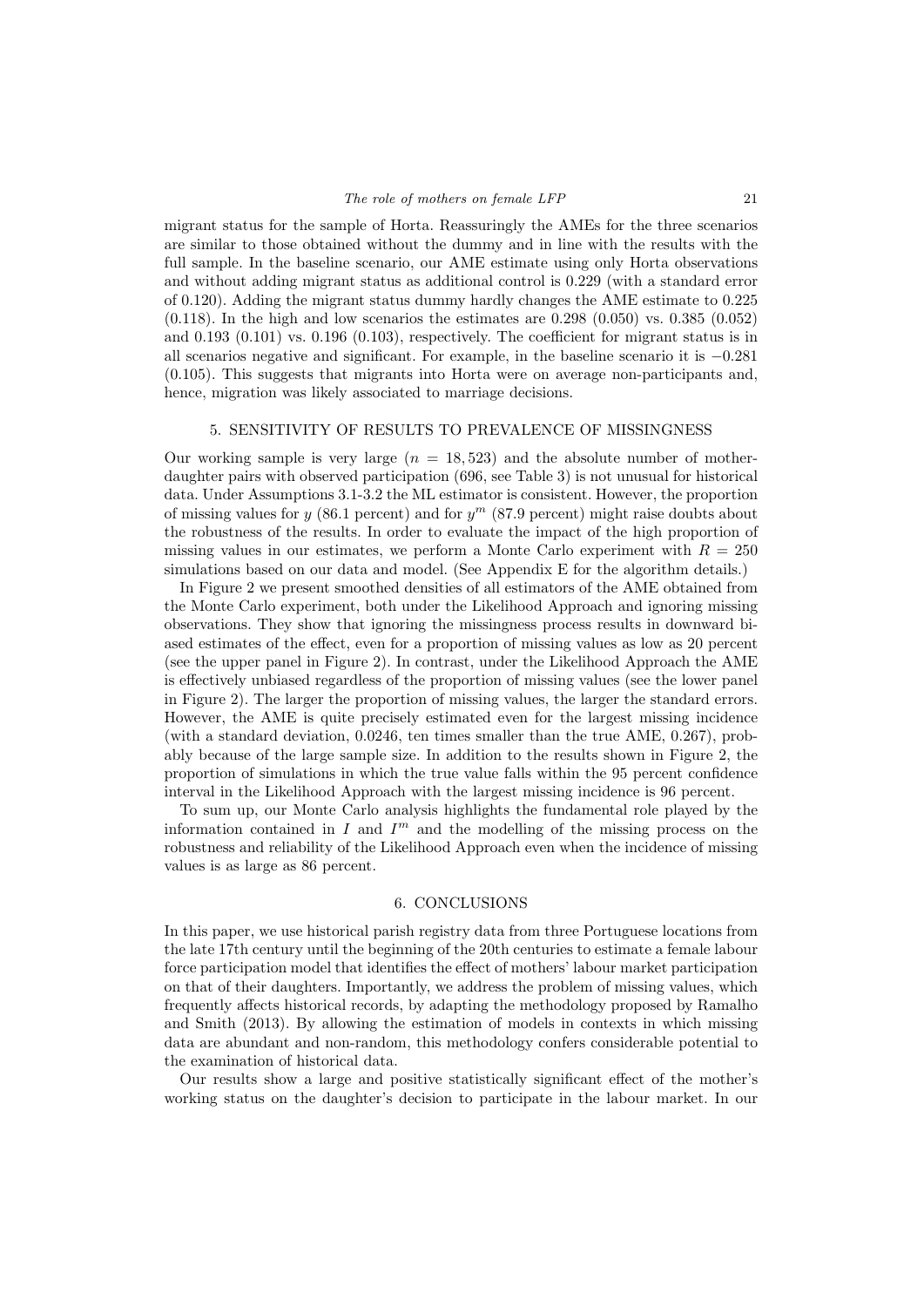migrant status for the sample of Horta. Reassuringly the AMEs for the three scenarios are similar to those obtained without the dummy and in line with the results with the full sample. In the baseline scenario, our AME estimate using only Horta observations and without adding migrant status as additional control is 0.229 (with a standard error of 0.120). Adding the migrant status dummy hardly changes the AME estimate to 0.225  $(0.118)$ . In the high and low scenarios the estimates are 0.298  $(0.050)$  vs. 0.385  $(0.052)$ and 0.193 (0.101) vs. 0.196 (0.103), respectively. The coefficient for migrant status is in all scenarios negative and significant. For example, in the baseline scenario it is −0.281 (0.105). This suggests that migrants into Horta were on average non-participants and, hence, migration was likely associated to marriage decisions.

#### 5. SENSITIVITY OF RESULTS TO PREVALENCE OF MISSINGNESS

Our working sample is very large  $(n = 18, 523)$  and the absolute number of motherdaughter pairs with observed participation (696, see Table 3) is not unusual for historical data. Under Assumptions 3.1-3.2 the ML estimator is consistent. However, the proportion of missing values for y (86.1 percent) and for  $y^m$  (87.9 percent) might raise doubts about the robustness of the results. In order to evaluate the impact of the high proportion of missing values in our estimates, we perform a Monte Carlo experiment with  $R = 250$ simulations based on our data and model. (See Appendix E for the algorithm details.)

In Figure 2 we present smoothed densities of all estimators of the AME obtained from the Monte Carlo experiment, both under the Likelihood Approach and ignoring missing observations. They show that ignoring the missingness process results in downward biased estimates of the effect, even for a proportion of missing values as low as 20 percent (see the upper panel in Figure 2). In contrast, under the Likelihood Approach the AME is effectively unbiased regardless of the proportion of missing values (see the lower panel in Figure 2). The larger the proportion of missing values, the larger the standard errors. However, the AME is quite precisely estimated even for the largest missing incidence (with a standard deviation, 0.0246, ten times smaller than the true AME, 0.267), probably because of the large sample size. In addition to the results shown in Figure 2, the proportion of simulations in which the true value falls within the 95 percent confidence interval in the Likelihood Approach with the largest missing incidence is 96 percent.

To sum up, our Monte Carlo analysis highlights the fundamental role played by the information contained in  $I$  and  $I<sup>m</sup>$  and the modelling of the missing process on the robustness and reliability of the Likelihood Approach even when the incidence of missing values is as large as 86 percent.

#### 6. CONCLUSIONS

In this paper, we use historical parish registry data from three Portuguese locations from the late 17th century until the beginning of the 20th centuries to estimate a female labour force participation model that identifies the effect of mothers' labour market participation on that of their daughters. Importantly, we address the problem of missing values, which frequently affects historical records, by adapting the methodology proposed by Ramalho and Smith (2013). By allowing the estimation of models in contexts in which missing data are abundant and non-random, this methodology confers considerable potential to the examination of historical data.

Our results show a large and positive statistically significant effect of the mother's working status on the daughter's decision to participate in the labour market. In our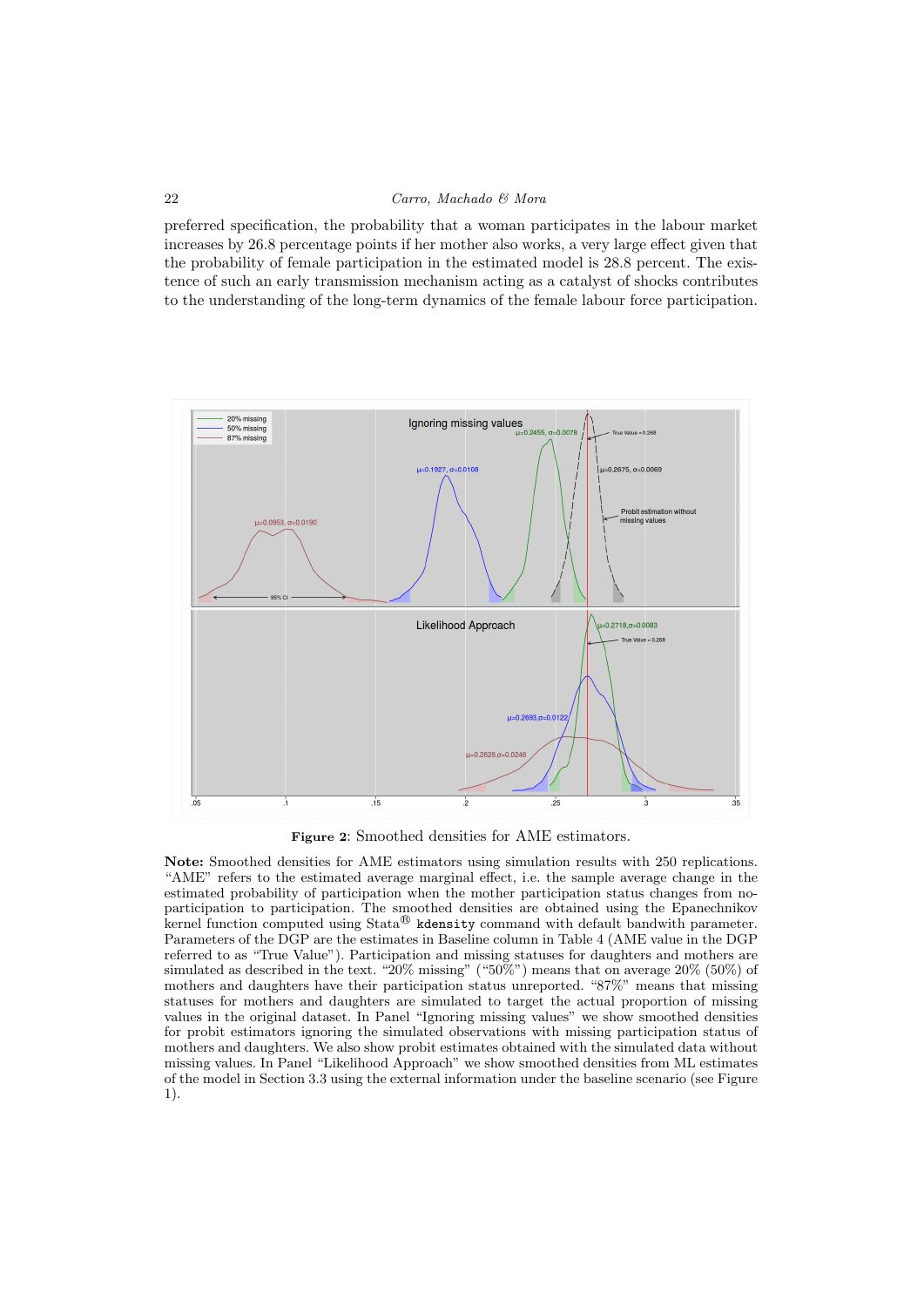preferred specification, the probability that a woman participates in the labour market increases by 26.8 percentage points if her mother also works, a very large effect given that the probability of female participation in the estimated model is 28.8 percent. The existence of such an early transmission mechanism acting as a catalyst of shocks contributes to the understanding of the long-term dynamics of the female labour force participation.



Figure 2: Smoothed densities for AME estimators.

Note: Smoothed densities for AME estimators using simulation results with 250 replications. "AME" refers to the estimated average marginal effect, i.e. the sample average change in the estimated probability of participation when the mother participation status changes from noparticipation to participation. The smoothed densities are obtained using the Epanechnikov kernel function computed using  $\text{Stata}^{\circledR}$  kdensity command with default bandwith parameter. Parameters of the DGP are the estimates in Baseline column in Table 4 (AME value in the DGP referred to as "True Value"). Participation and missing statuses for daughters and mothers are simulated as described in the text. "20% missing" ("50%") means that on average 20% (50%) of mothers and daughters have their participation status unreported. "87%" means that missing statuses for mothers and daughters are simulated to target the actual proportion of missing values in the original dataset. In Panel "Ignoring missing values" we show smoothed densities for probit estimators ignoring the simulated observations with missing participation status of mothers and daughters. We also show probit estimates obtained with the simulated data without missing values. In Panel "Likelihood Approach" we show smoothed densities from ML estimates of the model in Section 3.3 using the external information under the baseline scenario (see Figure 1).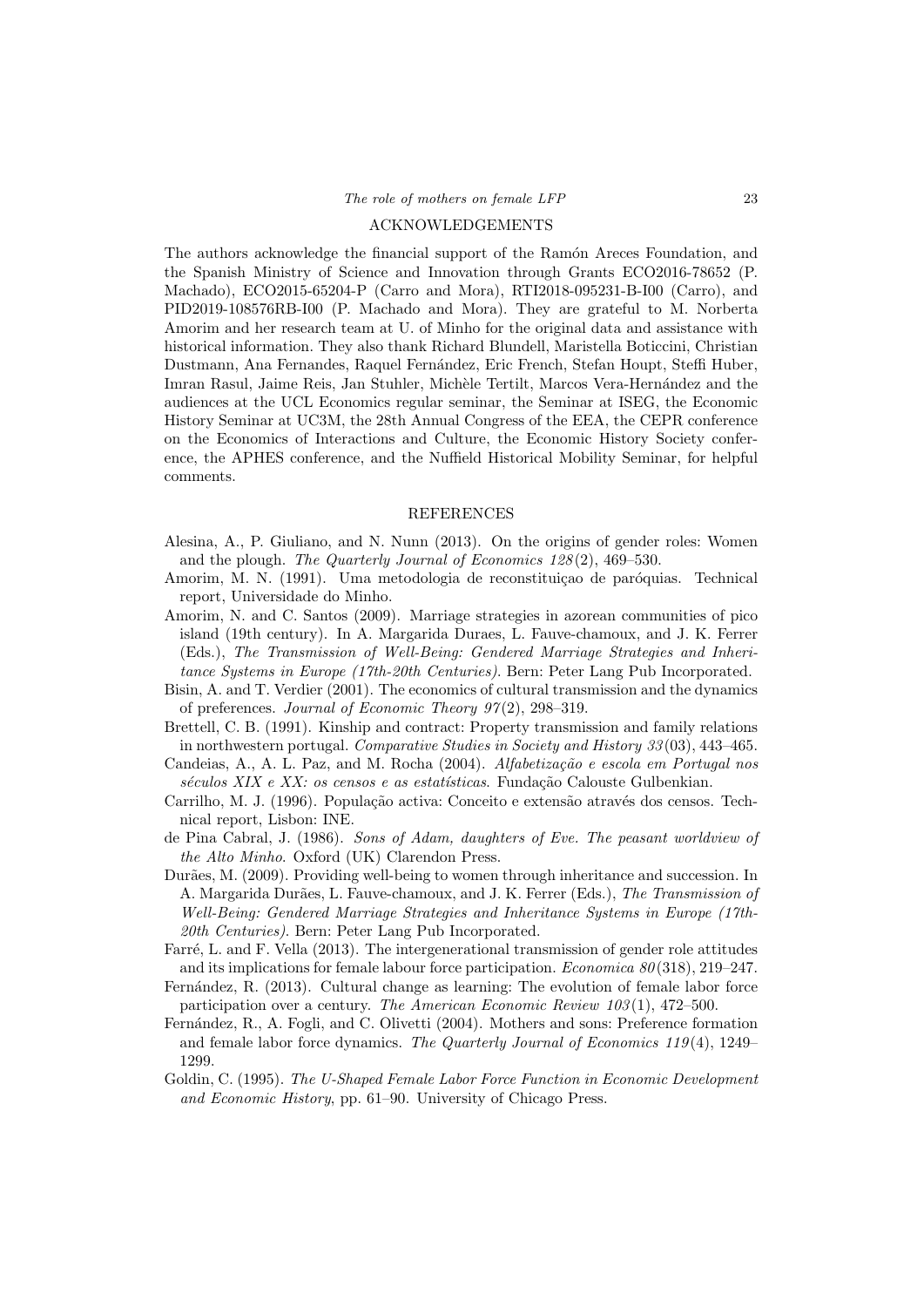#### ACKNOWLEDGEMENTS

The authors acknowledge the financial support of the Ramón Areces Foundation, and the Spanish Ministry of Science and Innovation through Grants ECO2016-78652 (P. Machado), ECO2015-65204-P (Carro and Mora), RTI2018-095231-B-I00 (Carro), and PID2019-108576RB-I00 (P. Machado and Mora). They are grateful to M. Norberta Amorim and her research team at U. of Minho for the original data and assistance with historical information. They also thank Richard Blundell, Maristella Boticcini, Christian Dustmann, Ana Fernandes, Raquel Fernández, Eric French, Stefan Houpt, Steffi Huber, Imran Rasul, Jaime Reis, Jan Stuhler, Michèle Tertilt, Marcos Vera-Hernández and the audiences at the UCL Economics regular seminar, the Seminar at ISEG, the Economic History Seminar at UC3M, the 28th Annual Congress of the EEA, the CEPR conference on the Economics of Interactions and Culture, the Economic History Society conference, the APHES conference, and the Nuffield Historical Mobility Seminar, for helpful comments.

#### REFERENCES

- Alesina, A., P. Giuliano, and N. Nunn (2013). On the origins of gender roles: Women and the plough. The Quarterly Journal of Economics 128 (2), 469–530.
- Amorim, M. N. (1991). Uma metodologia de reconstituição de paróquias. Technical report, Universidade do Minho.
- Amorim, N. and C. Santos (2009). Marriage strategies in azorean communities of pico island (19th century). In A. Margarida Duraes, L. Fauve-chamoux, and J. K. Ferrer (Eds.), The Transmission of Well-Being: Gendered Marriage Strategies and Inheritance Systems in Europe (17th-20th Centuries). Bern: Peter Lang Pub Incorporated.
- Bisin, A. and T. Verdier (2001). The economics of cultural transmission and the dynamics of preferences. Journal of Economic Theory  $97(2)$ , 298-319.
- Brettell, C. B. (1991). Kinship and contract: Property transmission and family relations in northwestern portugal. Comparative Studies in Society and History 33 (03), 443–465.
- Candeias, A., A. L. Paz, and M. Rocha (2004).  $Alfabetização e escola em Portugal nos$ séculos XIX e XX: os censos e as estatísticas. Fundação Calouste Gulbenkian.
- Carrilho, M. J. (1996). População activa: Conceito e extensão através dos censos. Technical report, Lisbon: INE.
- de Pina Cabral, J. (1986). Sons of Adam, daughters of Eve. The peasant worldview of the Alto Minho. Oxford (UK) Clarendon Press.
- Durães, M. (2009). Providing well-being to women through inheritance and succession. In A. Margarida Durães, L. Fauve-chamoux, and J. K. Ferrer (Eds.), The Transmission of Well-Being: Gendered Marriage Strategies and Inheritance Systems in Europe (17th-20th Centuries). Bern: Peter Lang Pub Incorporated.
- Farré, L. and F. Vella (2013). The intergenerational transmission of gender role attitudes and its implications for female labour force participation. *Economica 80* (318), 219–247.
- Fernández, R. (2013). Cultural change as learning: The evolution of female labor force participation over a century. The American Economic Review 103 (1), 472–500.
- Fernández, R., A. Fogli, and C. Olivetti (2004). Mothers and sons: Preference formation and female labor force dynamics. The Quarterly Journal of Economics  $119(4)$ , 1249– 1299.
- Goldin, C. (1995). The U-Shaped Female Labor Force Function in Economic Development and Economic History, pp. 61–90. University of Chicago Press.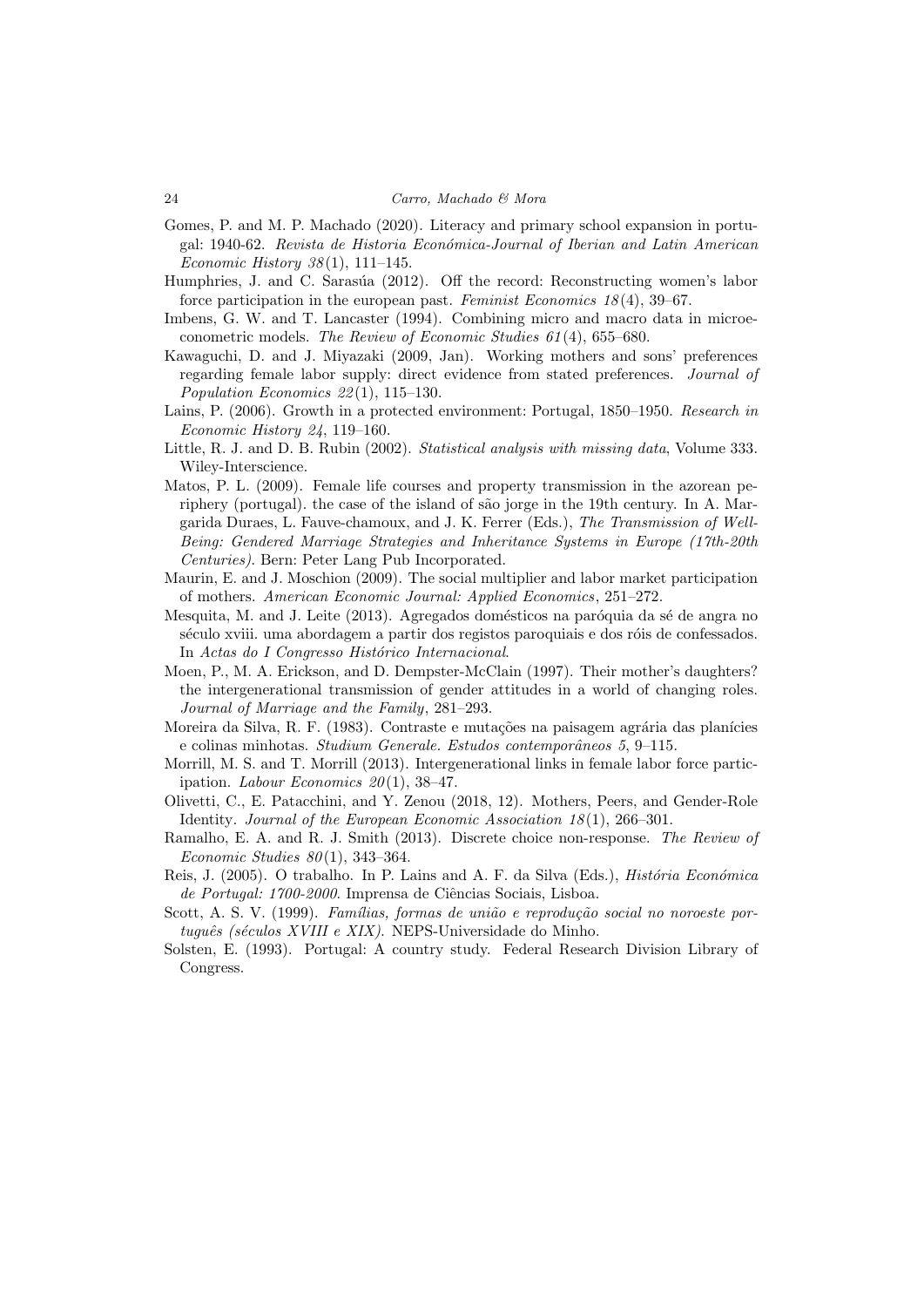- Gomes, P. and M. P. Machado (2020). Literacy and primary school expansion in portugal: 1940-62. Revista de Historia Econ´omica-Journal of Iberian and Latin American Economic History  $38(1)$ , 111-145.
- Humphries, J. and C. Sarasúa (2012). Off the record: Reconstructing women's labor force participation in the european past. Feminist Economics  $18(4)$ , 39–67.
- Imbens, G. W. and T. Lancaster (1994). Combining micro and macro data in microeconometric models. The Review of Economic Studies 61 (4), 655–680.
- Kawaguchi, D. and J. Miyazaki (2009, Jan). Working mothers and sons' preferences regarding female labor supply: direct evidence from stated preferences. Journal of Population Economics 22 (1), 115–130.
- Lains, P. (2006). Growth in a protected environment: Portugal, 1850–1950. Research in Economic History 24, 119–160.
- Little, R. J. and D. B. Rubin (2002). Statistical analysis with missing data, Volume 333. Wiley-Interscience.
- Matos, P. L. (2009). Female life courses and property transmission in the azorean periphery (portugal). the case of the island of são jorge in the 19th century. In A. Margarida Duraes, L. Fauve-chamoux, and J. K. Ferrer (Eds.), The Transmission of Well-Being: Gendered Marriage Strategies and Inheritance Systems in Europe (17th-20th Centuries). Bern: Peter Lang Pub Incorporated.
- Maurin, E. and J. Moschion (2009). The social multiplier and labor market participation of mothers. American Economic Journal: Applied Economics, 251–272.
- Mesquita, M. and J. Leite (2013). Agregados domésticos na paróquia da sé de angra no século xviii. uma abordagem a partir dos registos paroquiais e dos róis de confessados. In Actas do I Congresso Histórico Internacional.
- Moen, P., M. A. Erickson, and D. Dempster-McClain (1997). Their mother's daughters? the intergenerational transmission of gender attitudes in a world of changing roles. Journal of Marriage and the Family, 281–293.
- Moreira da Silva, R. F. (1983). Contraste e mutações na paisagem agrária das planícies e colinas minhotas. Studium Generale. Estudos contemporâneos 5, 9-115.
- Morrill, M. S. and T. Morrill (2013). Intergenerational links in female labor force participation. Labour Economics  $20(1)$ , 38-47.
- Olivetti, C., E. Patacchini, and Y. Zenou (2018, 12). Mothers, Peers, and Gender-Role Identity. Journal of the European Economic Association  $18(1)$ , 266-301.
- Ramalho, E. A. and R. J. Smith (2013). Discrete choice non-response. The Review of Economic Studies  $80(1)$ , 343-364.
- Reis, J. (2005). O trabalho. In P. Lains and A. F. da Silva (Eds.), *História Económica* de Portugal: 1700-2000. Imprensa de Ciências Sociais, Lisboa.
- Scott, A. S. V. (1999). Famílias, formas de união e reprodução social no noroeste por $tugu\hat{e}s$  (séculos XVIII e XIX). NEPS-Universidade do Minho.
- Solsten, E. (1993). Portugal: A country study. Federal Research Division Library of Congress.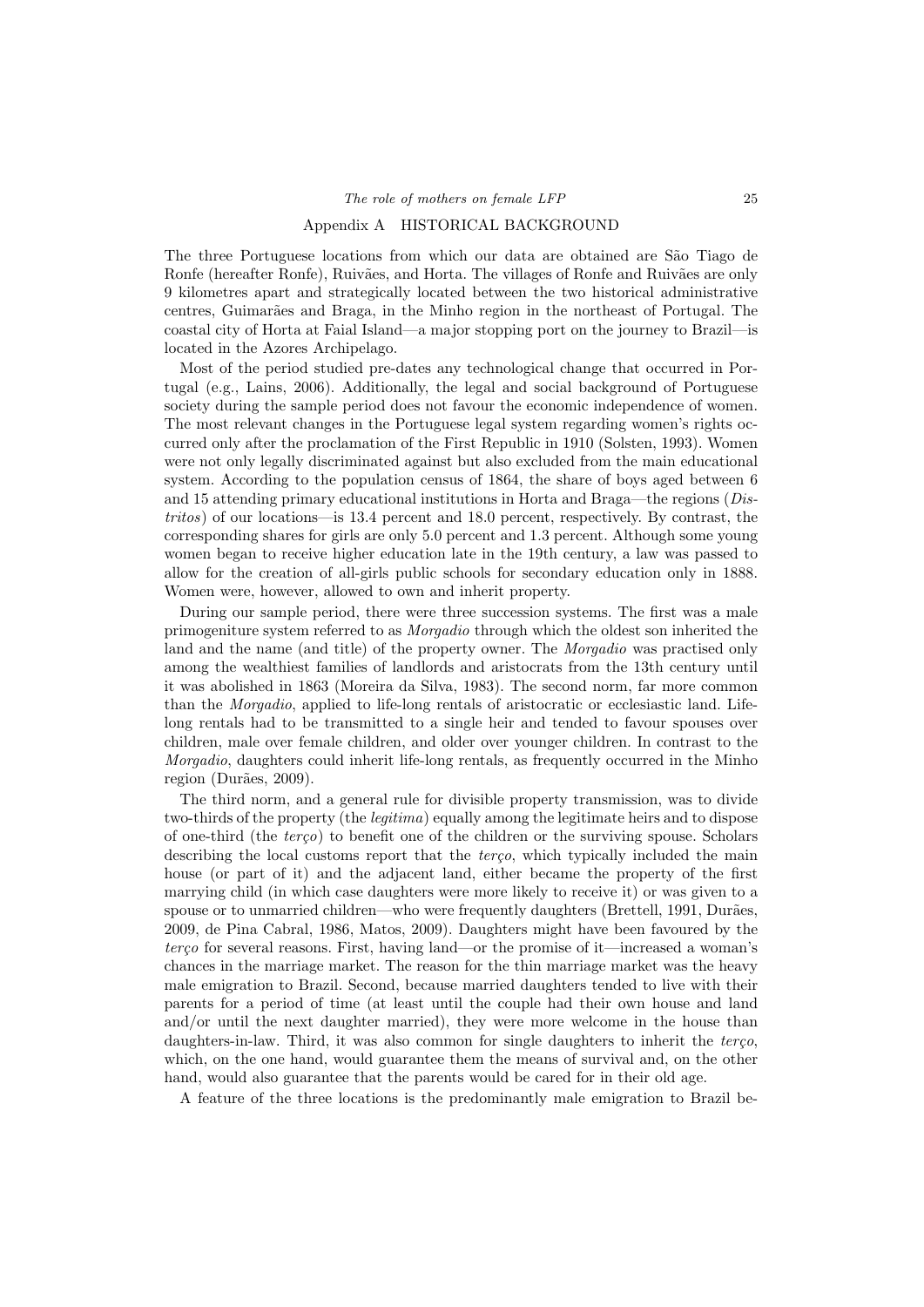#### Appendix A HISTORICAL BACKGROUND

The three Portuguese locations from which our data are obtained are São Tiago de Ronfe (hereafter Ronfe), Ruivães, and Horta. The villages of Ronfe and Ruivães are only 9 kilometres apart and strategically located between the two historical administrative centres, Guimarães and Braga, in the Minho region in the northeast of Portugal. The coastal city of Horta at Faial Island—a major stopping port on the journey to Brazil—is located in the Azores Archipelago.

Most of the period studied pre-dates any technological change that occurred in Portugal (e.g., Lains, 2006). Additionally, the legal and social background of Portuguese society during the sample period does not favour the economic independence of women. The most relevant changes in the Portuguese legal system regarding women's rights occurred only after the proclamation of the First Republic in 1910 (Solsten, 1993). Women were not only legally discriminated against but also excluded from the main educational system. According to the population census of 1864, the share of boys aged between 6 and 15 attending primary educational institutions in Horta and Braga—the regions (Distritos) of our locations—is 13.4 percent and 18.0 percent, respectively. By contrast, the corresponding shares for girls are only 5.0 percent and 1.3 percent. Although some young women began to receive higher education late in the 19th century, a law was passed to allow for the creation of all-girls public schools for secondary education only in 1888. Women were, however, allowed to own and inherit property.

During our sample period, there were three succession systems. The first was a male primogeniture system referred to as Morgadio through which the oldest son inherited the land and the name (and title) of the property owner. The Morgadio was practised only among the wealthiest families of landlords and aristocrats from the 13th century until it was abolished in 1863 (Moreira da Silva, 1983). The second norm, far more common than the Morgadio, applied to life-long rentals of aristocratic or ecclesiastic land. Lifelong rentals had to be transmitted to a single heir and tended to favour spouses over children, male over female children, and older over younger children. In contrast to the Morgadio, daughters could inherit life-long rentals, as frequently occurred in the Minho region (Durães, 2009).

The third norm, and a general rule for divisible property transmission, was to divide two-thirds of the property (the legitima) equally among the legitimate heirs and to dispose of one-third (the  $tereq$ ) to benefit one of the children or the surviving spouse. Scholars describing the local customs report that the terço, which typically included the main house (or part of it) and the adjacent land, either became the property of the first marrying child (in which case daughters were more likely to receive it) or was given to a spouse or to unmarried children—who were frequently daughters (Brettell, 1991, Durães, 2009, de Pina Cabral, 1986, Matos, 2009). Daughters might have been favoured by the  $terco$  for several reasons. First, having land—or the promise of it—increased a woman's chances in the marriage market. The reason for the thin marriage market was the heavy male emigration to Brazil. Second, because married daughters tended to live with their parents for a period of time (at least until the couple had their own house and land and/or until the next daughter married), they were more welcome in the house than daughters-in-law. Third, it was also common for single daughters to inherit the terco, which, on the one hand, would guarantee them the means of survival and, on the other hand, would also guarantee that the parents would be cared for in their old age.

A feature of the three locations is the predominantly male emigration to Brazil be-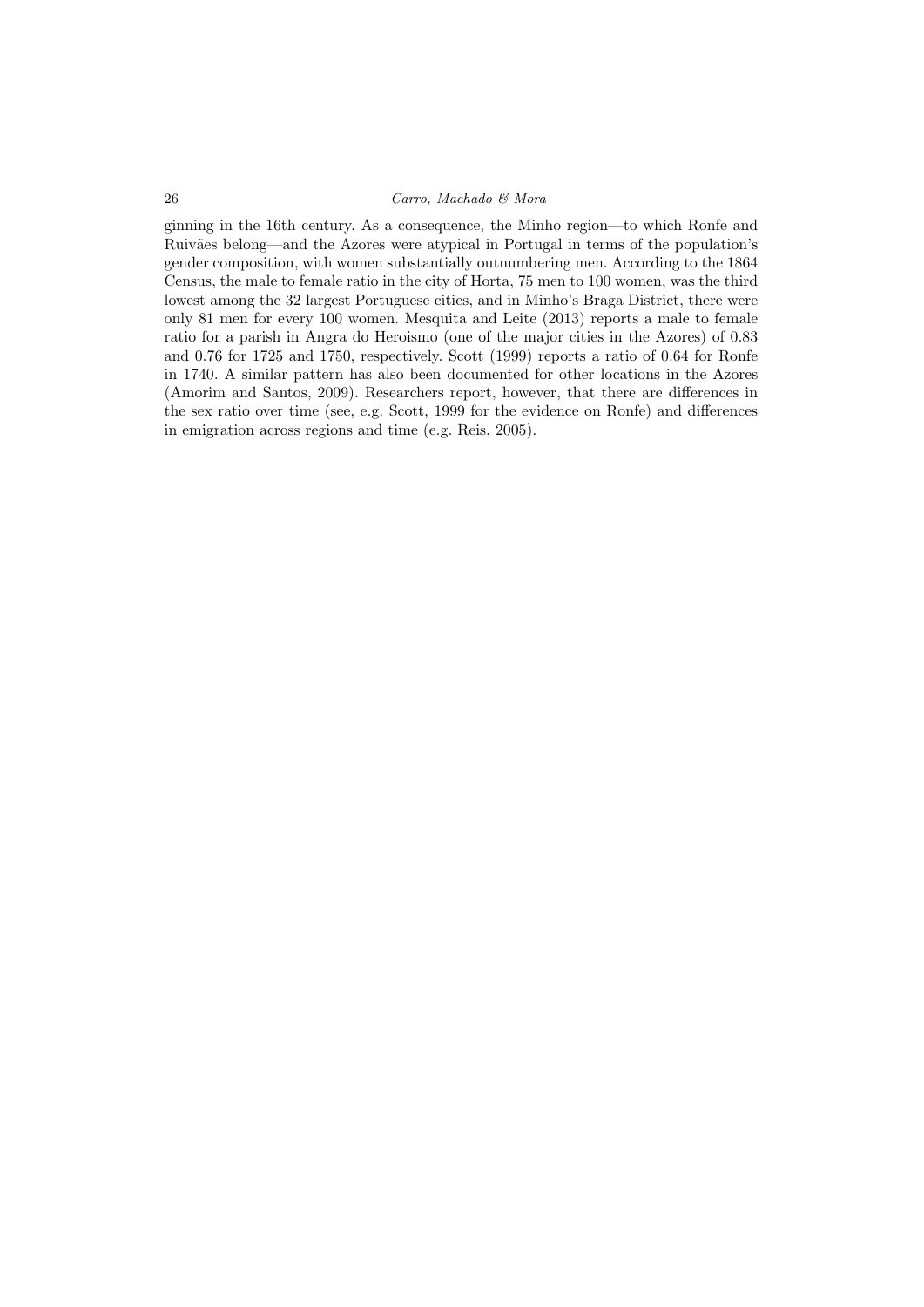ginning in the 16th century. As a consequence, the Minho region—to which Ronfe and Ruivães belong—and the Azores were atypical in Portugal in terms of the population's gender composition, with women substantially outnumbering men. According to the 1864 Census, the male to female ratio in the city of Horta, 75 men to 100 women, was the third lowest among the 32 largest Portuguese cities, and in Minho's Braga District, there were only 81 men for every 100 women. Mesquita and Leite (2013) reports a male to female ratio for a parish in Angra do Heroismo (one of the major cities in the Azores) of 0.83 and 0.76 for 1725 and 1750, respectively. Scott (1999) reports a ratio of 0.64 for Ronfe in 1740. A similar pattern has also been documented for other locations in the Azores (Amorim and Santos, 2009). Researchers report, however, that there are differences in the sex ratio over time (see, e.g. Scott, 1999 for the evidence on Ronfe) and differences in emigration across regions and time (e.g. Reis, 2005).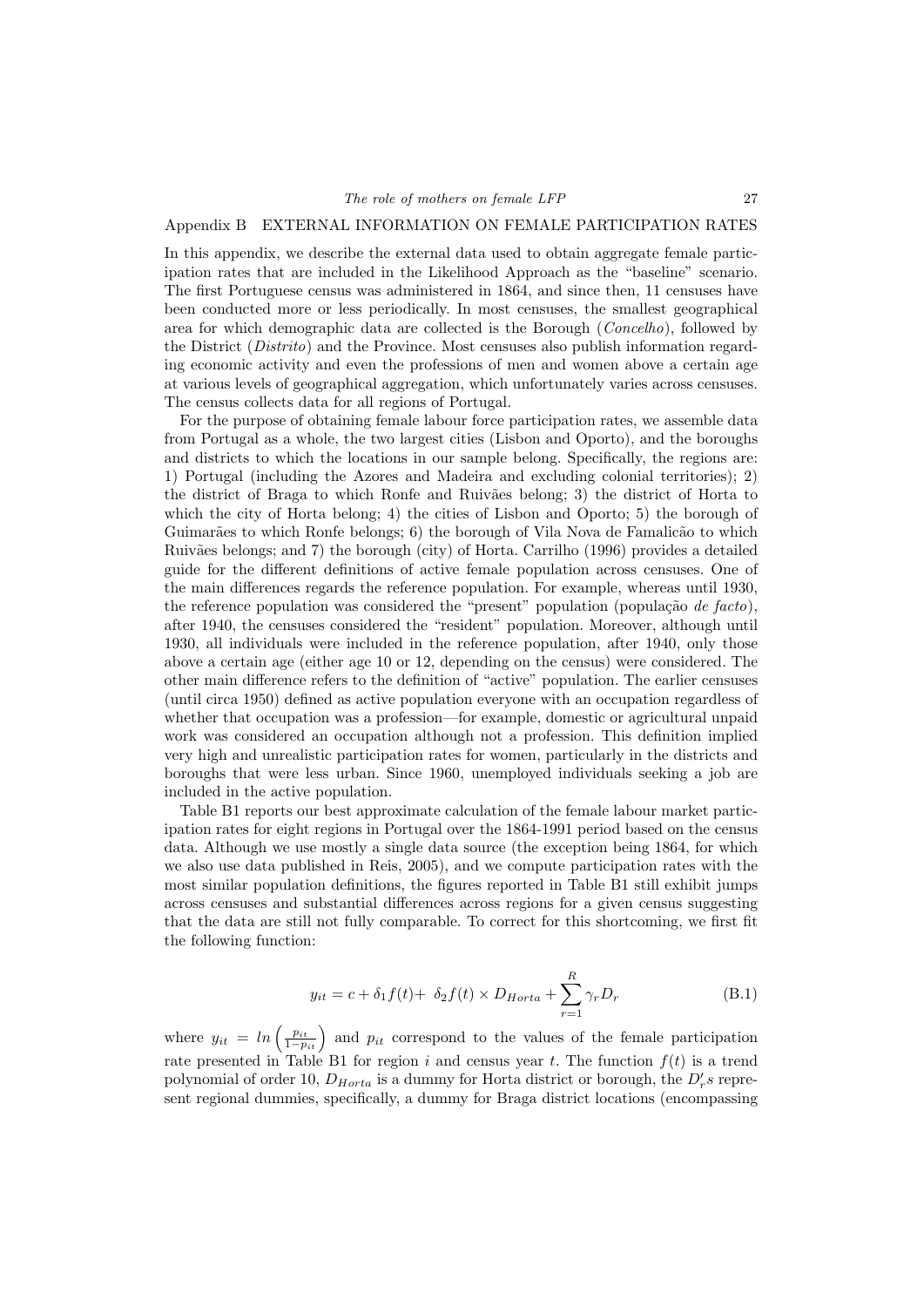#### Appendix B EXTERNAL INFORMATION ON FEMALE PARTICIPATION RATES

In this appendix, we describe the external data used to obtain aggregate female participation rates that are included in the Likelihood Approach as the "baseline" scenario. The first Portuguese census was administered in 1864, and since then, 11 censuses have been conducted more or less periodically. In most censuses, the smallest geographical area for which demographic data are collected is the Borough (Concelho), followed by the District (Distrito) and the Province. Most censuses also publish information regarding economic activity and even the professions of men and women above a certain age at various levels of geographical aggregation, which unfortunately varies across censuses. The census collects data for all regions of Portugal.

For the purpose of obtaining female labour force participation rates, we assemble data from Portugal as a whole, the two largest cities (Lisbon and Oporto), and the boroughs and districts to which the locations in our sample belong. Specifically, the regions are: 1) Portugal (including the Azores and Madeira and excluding colonial territories); 2) the district of Braga to which Ronfe and Ruivães belong; 3) the district of Horta to which the city of Horta belong; 4) the cities of Lisbon and Oporto; 5) the borough of Guimarães to which Ronfe belongs; 6) the borough of Vila Nova de Famalicão to which Ruiv˜aes belongs; and 7) the borough (city) of Horta. Carrilho (1996) provides a detailed guide for the different definitions of active female population across censuses. One of the main differences regards the reference population. For example, whereas until 1930, the reference population was considered the "present" population (população de facto), after 1940, the censuses considered the "resident" population. Moreover, although until 1930, all individuals were included in the reference population, after 1940, only those above a certain age (either age 10 or 12, depending on the census) were considered. The other main difference refers to the definition of "active" population. The earlier censuses (until circa 1950) defined as active population everyone with an occupation regardless of whether that occupation was a profession—for example, domestic or agricultural unpaid work was considered an occupation although not a profession. This definition implied very high and unrealistic participation rates for women, particularly in the districts and boroughs that were less urban. Since 1960, unemployed individuals seeking a job are included in the active population.

Table B1 reports our best approximate calculation of the female labour market participation rates for eight regions in Portugal over the 1864-1991 period based on the census data. Although we use mostly a single data source (the exception being 1864, for which we also use data published in Reis, 2005), and we compute participation rates with the most similar population definitions, the figures reported in Table B1 still exhibit jumps across censuses and substantial differences across regions for a given census suggesting that the data are still not fully comparable. To correct for this shortcoming, we first fit the following function:

$$
y_{it} = c + \delta_1 f(t) + \delta_2 f(t) \times D_{Horta} + \sum_{r=1}^{R} \gamma_r D_r
$$
 (B.1)

where  $y_{it} = ln\left(\frac{p_{it}}{1-p_{it}}\right)$  and  $p_{it}$  correspond to the values of the female participation rate presented in Table B1 for region i and census year t. The function  $f(t)$  is a trend polynomial of order 10,  $D_{Horta}$  is a dummy for Horta district or borough, the  $D'_r s$  represent regional dummies, specifically, a dummy for Braga district locations (encompassing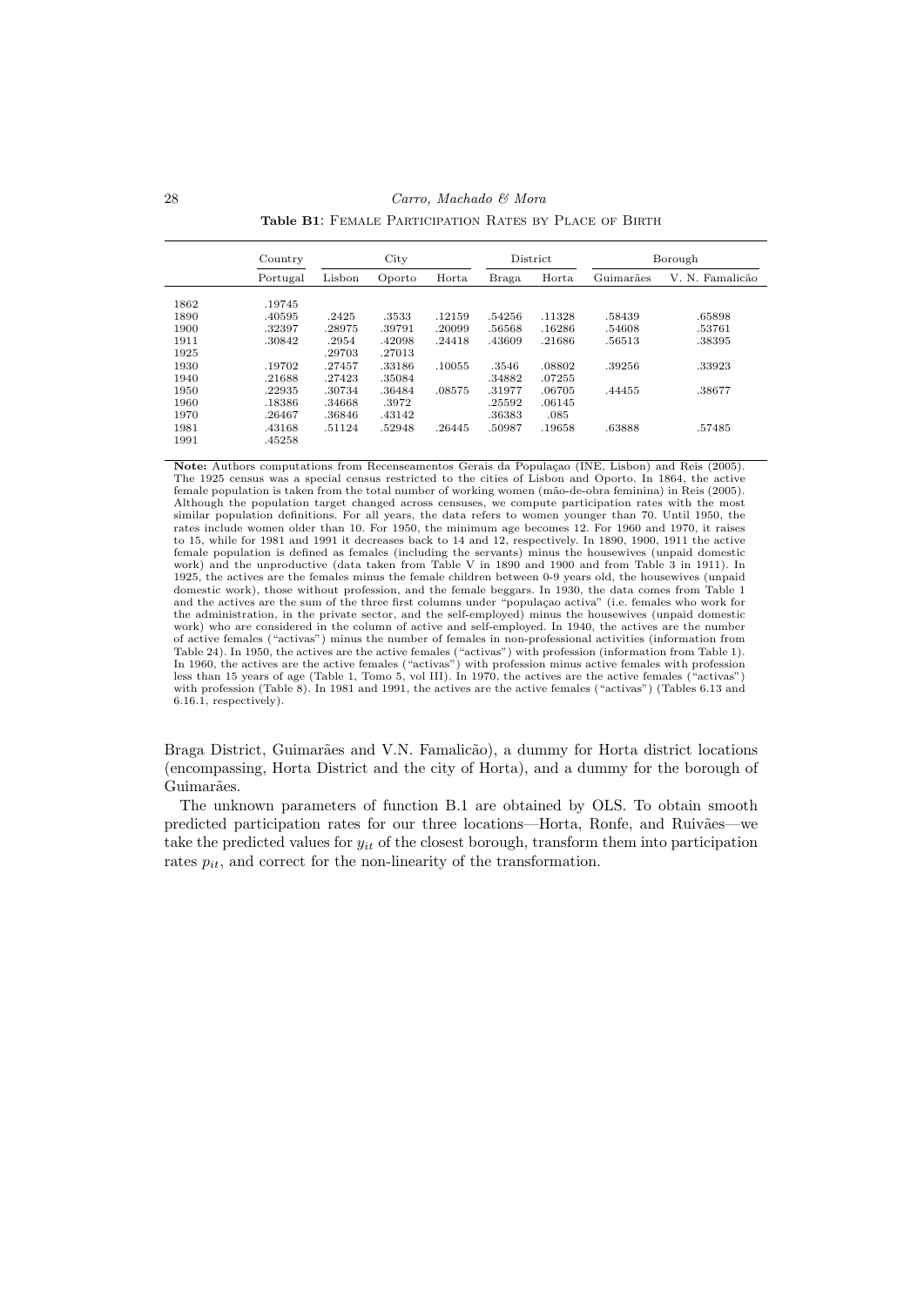28 Carro, Machado & Mora

Table B1: FEMALE PARTICIPATION RATES BY PLACE OF BIRTH

|      | Country  |        | City   | District<br>Borough |        |        |           |                 |
|------|----------|--------|--------|---------------------|--------|--------|-----------|-----------------|
|      | Portugal | Lisbon | Oporto | Horta               | Braga  | Horta  | Guimarães | V. N. Famalicão |
| 1862 | .19745   |        |        |                     |        |        |           |                 |
| 1890 | .40595   | .2425  | .3533  | .12159              | .54256 | .11328 | .58439    | .65898          |
| 1900 | .32397   | .28975 | .39791 | .20099              | .56568 | .16286 | .54608    | .53761          |
| 1911 | .30842   | .2954  | .42098 | .24418              | .43609 | .21686 | .56513    | .38395          |
| 1925 |          | .29703 | .27013 |                     |        |        |           |                 |
| 1930 | .19702   | .27457 | .33186 | .10055              | .3546  | .08802 | .39256    | .33923          |
| 1940 | .21688   | .27423 | .35084 |                     | .34882 | .07255 |           |                 |
| 1950 | .22935   | .30734 | .36484 | .08575              | .31977 | .06705 | .44455    | .38677          |
| 1960 | .18386   | .34668 | .3972  |                     | .25592 | .06145 |           |                 |
| 1970 | .26467   | .36846 | .43142 |                     | .36383 | .085   |           |                 |
| 1981 | .43168   | .51124 | .52948 | .26445              | .50987 | .19658 | .63888    | .57485          |
| 1991 | .45258   |        |        |                     |        |        |           |                 |

Note: Authors computations from Recenseamentos Gerais da População (INE, Lisbon) and Reis (2005). The 1925 census was a special census restricted to the cities of Lisbon and Oporto. In 1864, the active female population is taken from the total number of working women (m˜ao-de-obra feminina) in Reis (2005). Although the population target changed across censuses, we compute participation rates with the most similar population definitions. For all years, the data refers to women younger than 70. Until 1950, the rates include women older than 10. For 1950, the minimum age becomes 12. For 1960 and 1970, it raises to 15, while for 1981 and 1991 it decreases back to 14 and 12, respectively. In 1890, 1900, 1911 the active female population is defined as females (including the servants) minus the housewives (unpaid domestic work) and the unproductive (data taken from Table V in 1890 and 1900 and from Table 3 in 1911). In 1925, the actives are the females minus the female children between 0-9 years old, the housewives (unpaid domestic work), those without profession, and the female beggars. In 1930, the data comes from Table 1 and the actives are the sum of the three first columns under "populaçao activa" (i.e. females who work for<br>the administration, in the private sector, and the self-employed) minus the housewives (unpaid domestic work) who are considered in the column of active and self-employed. In 1940, the actives are the number of active females ("activas") minus the number of females in non-professional activities (information from Table 24). In 1950, the actives are the active females ("activas") with profession (information from Table 1). In 1960, the actives are the active females ("activas") with profession minus active females with profession less than 15 years of age (Table 1, Tomo 5, vol III). In 1970, the actives are the active females ("activas") with profession (Table 8). In 1981 and 1991, the actives are the active females ("activas") (Tables 6.13 and 6.16.1, respectively).

Braga District, Guimarães and V.N. Famalicão), a dummy for Horta district locations (encompassing, Horta District and the city of Horta), and a dummy for the borough of Guimarães.

The unknown parameters of function B.1 are obtained by OLS. To obtain smooth predicted participation rates for our three locations—Horta, Ronfe, and Ruivães—we take the predicted values for  $y_{it}$  of the closest borough, transform them into participation rates  $p_{it}$ , and correct for the non-linearity of the transformation.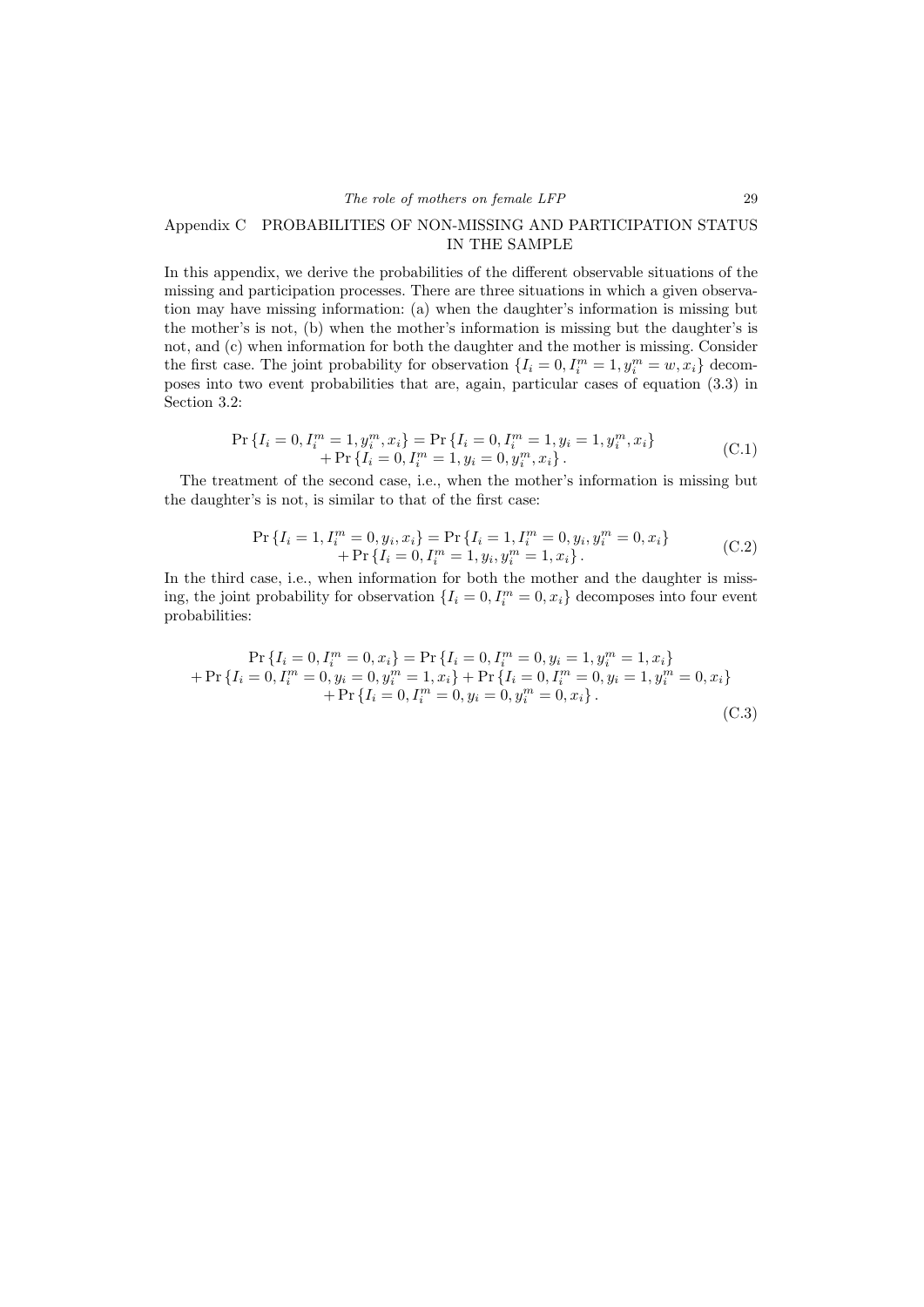## Appendix C PROBABILITIES OF NON-MISSING AND PARTICIPATION STATUS IN THE SAMPLE

In this appendix, we derive the probabilities of the different observable situations of the missing and participation processes. There are three situations in which a given observation may have missing information: (a) when the daughter's information is missing but the mother's is not, (b) when the mother's information is missing but the daughter's is not, and (c) when information for both the daughter and the mother is missing. Consider the first case. The joint probability for observation  $\{I_i = 0, I_i^m = 1, y_i^m = w, x_i\}$  decomposes into two event probabilities that are, again, particular cases of equation (3.3) in Section 3.2:

$$
\Pr\left\{I_i = 0, I_i^m = 1, y_i^m, x_i\right\} = \Pr\left\{I_i = 0, I_i^m = 1, y_i = 1, y_i^m, x_i\right\} + \Pr\left\{I_i = 0, I_i^m = 1, y_i = 0, y_i^m, x_i\right\}.
$$
\n(C.1)

The treatment of the second case, i.e., when the mother's information is missing but the daughter's is not, is similar to that of the first case:

$$
\Pr\left\{I_i = 1, I_i^m = 0, y_i, x_i\right\} = \Pr\left\{I_i = 1, I_i^m = 0, y_i, y_i^m = 0, x_i\right\} + \Pr\left\{I_i = 0, I_i^m = 1, y_i, y_i^m = 1, x_i\right\}.
$$
\n(C.2)

In the third case, i.e., when information for both the mother and the daughter is missing, the joint probability for observation  $\{I_i = 0, I_i^m = 0, x_i\}$  decomposes into four event probabilities:

$$
\Pr\{I_i = 0, I_i^m = 0, x_i\} = \Pr\{I_i = 0, I_i^m = 0, y_i = 1, y_i^m = 1, x_i\} + \Pr\{I_i = 0, I_i^m = 0, y_i = 0, y_i^m = 1, x_i\} + \Pr\{I_i = 0, I_i^m = 0, y_i = 1, y_i^m = 0, x_i\} + \Pr\{I_i = 0, I_i^m = 0, y_i = 0, y_i^m = 0, x_i\}.
$$
\n(C.3)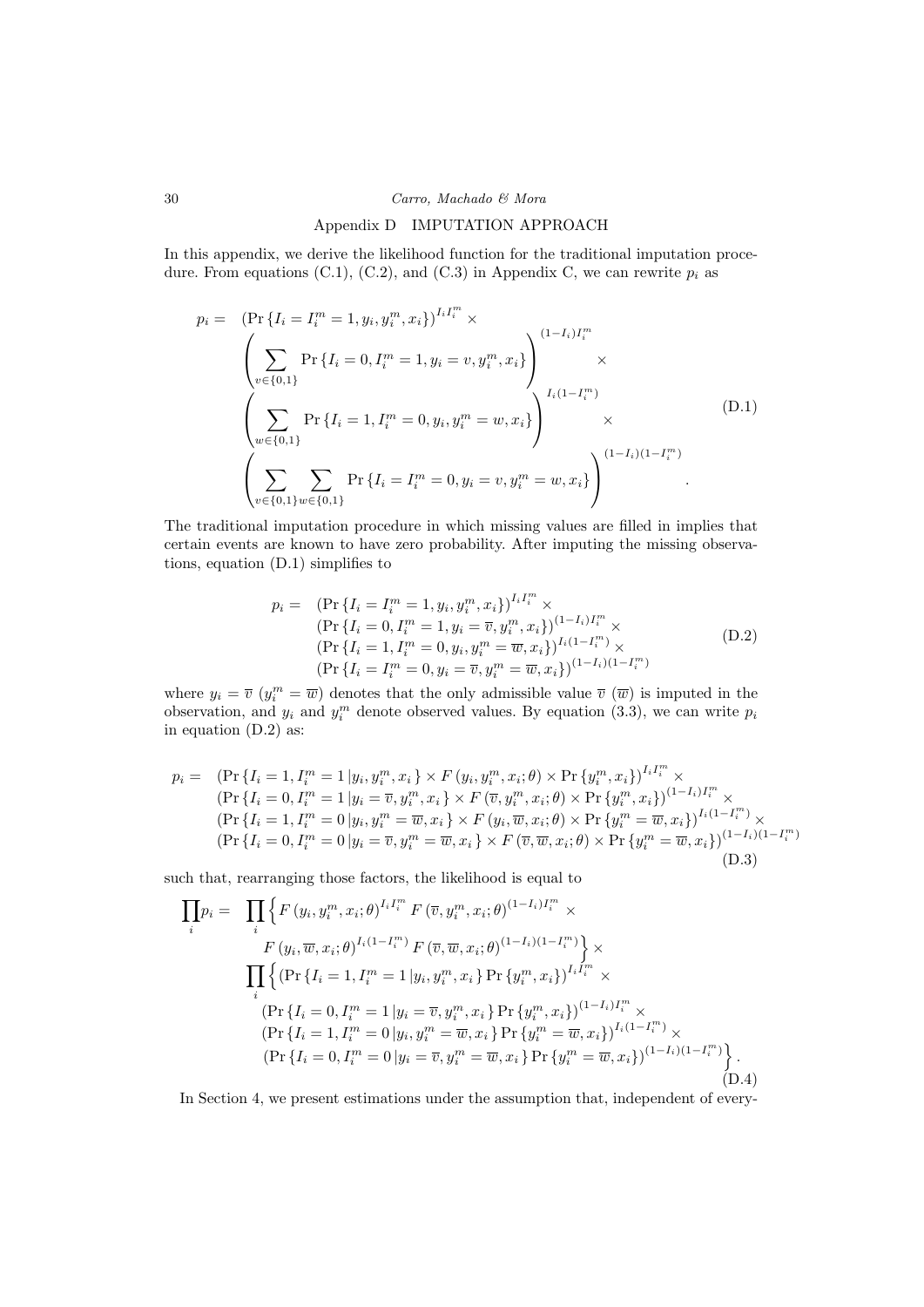#### Appendix D IMPUTATION APPROACH

In this appendix, we derive the likelihood function for the traditional imputation procedure. From equations (C.1), (C.2), and (C.3) in Appendix C, we can rewrite  $p_i$  as

$$
p_{i} = (\Pr\{I_{i} = I_{i}^{m} = 1, y_{i}, y_{i}^{m}, x_{i}\})^{I_{i}I_{i}^{m}} \times \left(\sum_{v \in \{0,1\}} \Pr\{I_{i} = 0, I_{i}^{m} = 1, y_{i} = v, y_{i}^{m}, x_{i}\}\right)^{(1 - I_{i})I_{i}^{m}} \times \left(\sum_{w \in \{0,1\}} \Pr\{I_{i} = 1, I_{i}^{m} = 0, y_{i}, y_{i}^{m} = w, x_{i}\}\right)^{I_{i}(1 - I_{i}^{m})} \times \left(\sum_{v \in \{0,1\}} \sum_{w \in \{0,1\}} \Pr\{I_{i} = I_{i}^{m} = 0, y_{i} = v, y_{i}^{m} = w, x_{i}\}\right)^{(1 - I_{i})(1 - I_{i}^{m})}.
$$
\n(D.1)

The traditional imputation procedure in which missing values are filled in implies that certain events are known to have zero probability. After imputing the missing observations, equation (D.1) simplifies to

$$
p_i = \left(\Pr\left\{I_i = I_i^m = 1, y_i, y_i^m, x_i\right\}\right)^{I_i I_i^m} \times
$$
  
\n
$$
\left(\Pr\left\{I_i = 0, I_i^m = 1, y_i = \overline{v}, y_i^m, x_i\right\}\right)^{(1 - I_i) I_i^m} \times
$$
  
\n
$$
\left(\Pr\left\{I_i = 1, I_i^m = 0, y_i, y_i^m = \overline{w}, x_i\right\}\right)^{I_i (1 - I_i^m)} \times
$$
  
\n
$$
\left(\Pr\left\{I_i = I_i^m = 0, y_i = \overline{v}, y_i^m = \overline{w}, x_i\right\}\right)^{(1 - I_i)(1 - I_i^m)}
$$
\n(D.2)

where  $y_i = \overline{v} (y_i^m = \overline{w})$  denotes that the only admissible value  $\overline{v} (\overline{w})$  is imputed in the observation, and  $y_i$  and  $y_i^m$  denote observed values. By equation (3.3), we can write  $p_i$ in equation (D.2) as:

$$
p_{i} = (Pr\{I_{i} = 1, I_{i}^{m} = 1 | y_{i}, y_{i}^{m}, x_{i}\} \times F(y_{i}, y_{i}^{m}, x_{i}; \theta) \times Pr\{y_{i}^{m}, x_{i}\}\}^{I_{i}I_{i}^{m}} \times
$$
  
\n
$$
(Pr\{I_{i} = 0, I_{i}^{m} = 1 | y_{i} = \overline{v}, y_{i}^{m}, x_{i}\} \times F(\overline{v}, y_{i}^{m}, x_{i}; \theta) \times Pr\{y_{i}^{m}, x_{i}\}\}^{(1 - I_{i})I_{i}^{m}} \times
$$
  
\n
$$
(Pr\{I_{i} = 1, I_{i}^{m} = 0 | y_{i}, y_{i}^{m} = \overline{w}, x_{i}\} \times F(y_{i}, \overline{w}, x_{i}; \theta) \times Pr\{y_{i}^{m} = \overline{w}, x_{i}\}\}^{I_{i}(1 - I_{i}^{m})} \times
$$
  
\n
$$
(Pr\{I_{i} = 0, I_{i}^{m} = 0 | y_{i} = \overline{v}, y_{i}^{m} = \overline{w}, x_{i}\} \times F(\overline{v}, \overline{w}, x_{i}; \theta) \times Pr\{y_{i}^{m} = \overline{w}, x_{i}\}\}^{(1 - I_{i}) (1 - I_{i}^{m})}
$$
  
\n
$$
(D.3)
$$

such that, rearranging those factors, the likelihood is equal to

$$
\prod_{i} p_{i} = \prod_{i} \left\{ F(y_{i}, y_{i}^{m}, x_{i}; \theta)^{I_{i}I_{i}^{m}} F(\overline{v}, y_{i}^{m}, x_{i}; \theta)^{(1-I_{i})I_{i}^{m}} \times F(y_{i}, \overline{w}, x_{i}; \theta)^{I_{i}(1-I_{i}^{m})} F(\overline{v}, \overline{w}, x_{i}; \theta)^{(1-I_{i})(1-I_{i}^{m})} \right\} \times
$$
\n
$$
\prod_{i} \left\{ (\Pr\{I_{i} = 1, I_{i}^{m} = 1 | y_{i}, y_{i}^{m}, x_{i} \} \Pr\{y_{i}^{m}, x_{i}\})^{I_{i}I_{i}^{m}} \times F(Y_{i}I_{i} = 0, I_{i}^{m} = 1 | y_{i} = \overline{v}, y_{i}^{m}, x_{i} \} \Pr\{y_{i}^{m}, x_{i}\})^{(1-I_{i})I_{i}^{m}} \times
$$
\n
$$
(\Pr\{I_{i} = 1, I_{i}^{m} = 0 | y_{i}, y_{i}^{m} = \overline{w}, x_{i} \} \Pr\{y_{i}^{m} = \overline{w}, x_{i}\})^{I_{i}(1-I_{i}^{m})} \times
$$
\n
$$
(\Pr\{I_{i} = 0, I_{i}^{m} = 0 | y_{i} = \overline{v}, y_{i}^{m} = \overline{w}, x_{i} \} \Pr\{y_{i}^{m} = \overline{w}, x_{i}\})^{(1-I_{i})(1-I_{i}^{m})}.
$$
\n(D.4)

In Section 4, we present estimations under the assumption that, independent of every-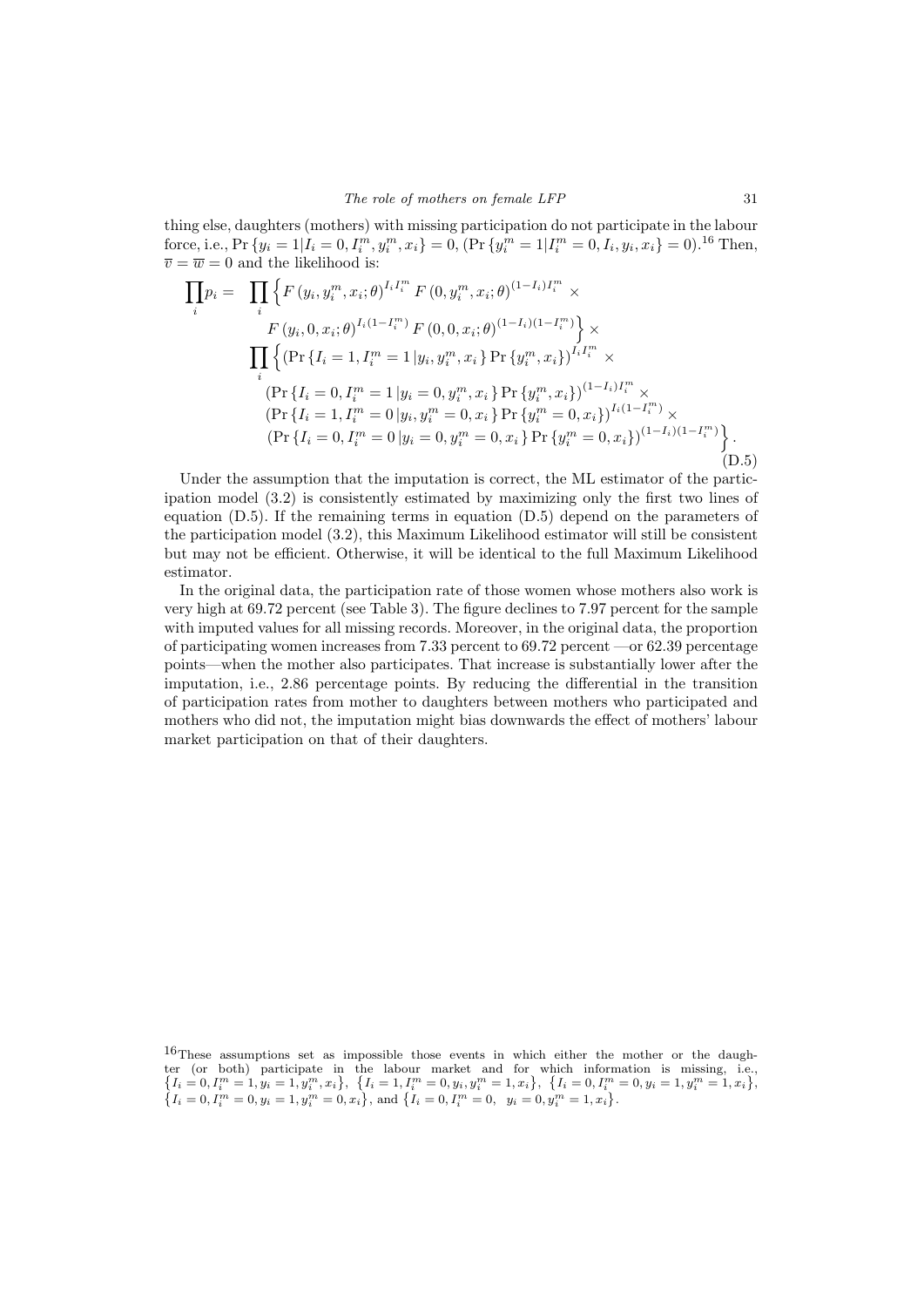thing else, daughters (mothers) with missing participation do not participate in the labour force, i.e.,  $Pr\{y_i = 1 | I_i = 0, I_i^m, y_i^m, x_i\} = 0$ ,  $(Pr\{y_i^m = 1 | I_i^m = 0, I_i, y_i, x_i\} = 0)$ .<sup>16</sup> Then,  $\overline{v} = \overline{w} = 0$  and the likelihood is:

$$
\prod_{i} p_{i} = \prod_{i} \left\{ F(y_{i}, y_{i}^{m}, x_{i}; \theta)^{I_{i} I_{i}^{m}} F(0, y_{i}^{m}, x_{i}; \theta)^{(1 - I_{i}) I_{i}^{m}} \times F(y_{i}, 0, x_{i}; \theta)^{I_{i} (1 - I_{i}^{m})} F(0, 0, x_{i}; \theta)^{(1 - I_{i}) (1 - I_{i}^{m})} \right\} \times \prod_{i} \left\{ (\Pr\{I_{i} = 1, I_{i}^{m} = 1 | y_{i}, y_{i}^{m}, x_{i}\} \Pr\{y_{i}^{m}, x_{i}\})^{I_{i} I_{i}^{m}} \times \left(\Pr\{I_{i} = 0, I_{i}^{m} = 1 | y_{i} = 0, y_{i}^{m}, x_{i}\} \Pr\{y_{i}^{m}, x_{i}\}\right)^{(1 - I_{i}) I_{i}^{m}} \times \left(\Pr\{I_{i} = 1, I_{i}^{m} = 0 | y_{i}, y_{i}^{m} = 0, x_{i}\} \Pr\{y_{i}^{m} = 0, x_{i}\}\right)^{I_{i} (1 - I_{i}^{m})} \times \left(\Pr\{I_{i} = 0, I_{i}^{m} = 0 | y_{i} = 0, y_{i}^{m} = 0, x_{i}\} \Pr\{y_{i}^{m} = 0, x_{i}\}\right)^{(1 - I_{i}) (1 - I_{i}^{m})} \right\}.
$$
\n(D.5)

Under the assumption that the imputation is correct, the ML estimator of the participation model (3.2) is consistently estimated by maximizing only the first two lines of equation (D.5). If the remaining terms in equation (D.5) depend on the parameters of the participation model (3.2), this Maximum Likelihood estimator will still be consistent but may not be efficient. Otherwise, it will be identical to the full Maximum Likelihood estimator.

In the original data, the participation rate of those women whose mothers also work is very high at 69.72 percent (see Table 3). The figure declines to 7.97 percent for the sample with imputed values for all missing records. Moreover, in the original data, the proportion of participating women increases from 7.33 percent to  $69.72$  percent $\sim$ or  $62.39$  percentage points—when the mother also participates. That increase is substantially lower after the imputation, i.e., 2.86 percentage points. By reducing the differential in the transition of participation rates from mother to daughters between mothers who participated and mothers who did not, the imputation might bias downwards the effect of mothers' labour market participation on that of their daughters.

 $16$ These assumptions set as impossible those events in which either the mother or the daughter (or both) participate in the labour market and for which information is missing, i.e.,  $\{I_i = 0, I_i^m = 1, y_i = 1, y_i^m, x_i\}, \{I_i = 1, I_i^m = 0, y_i, y_i^m = 1, x_i\}, \{I_i = 0, I_i^m = 0, y_i = 1, y_i^m = 1, x_i\},\$  $\left\{I_i = 0, I_i^m = 0, y_i = 1, y_i^m = 0, x_i\right\}$ , and  $\left\{I_i = 0, I_i^m = 0, y_i = 0, y_i^m = 1, x_i\right\}$ .